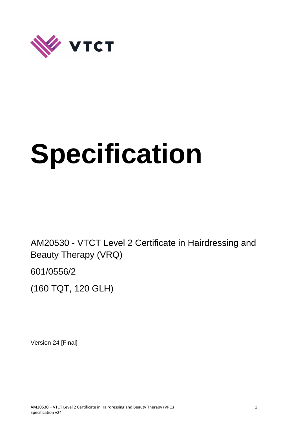

# **Specification**

AM20530 - VTCT Level 2 Certificate in Hairdressing and Beauty Therapy (VRQ)

601/0556/2

(160 TQT, 120 GLH)

Version 24 [Final]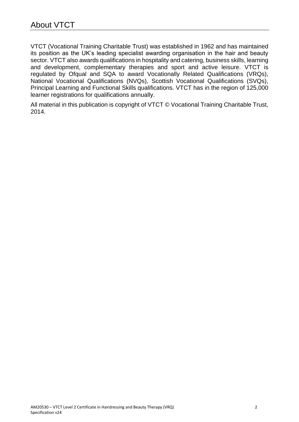VTCT (Vocational Training Charitable Trust) was established in 1962 and has maintained its position as the UK's leading specialist awarding organisation in the hair and beauty sector. VTCT also awards qualifications in hospitality and catering, business skills, learning and development, complementary therapies and sport and active leisure. VTCT is regulated by Ofqual and SQA to award Vocationally Related Qualifications (VRQs), National Vocational Qualifications (NVQs), Scottish Vocational Qualifications (SVQs), Principal Learning and Functional Skills qualifications. VTCT has in the region of 125,000 learner registrations for qualifications annually.

All material in this publication is copyright of VTCT © Vocational Training Charitable Trust, 2014.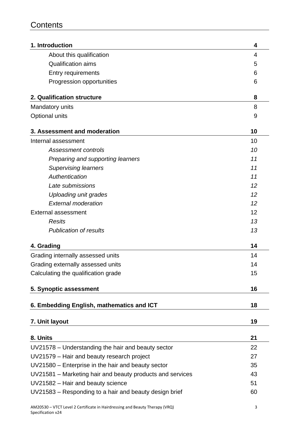# **Contents**

| 1. Introduction                                           | 4  |
|-----------------------------------------------------------|----|
| About this qualification                                  | 4  |
| <b>Qualification aims</b>                                 | 5  |
| <b>Entry requirements</b>                                 | 6  |
| Progression opportunities                                 | 6  |
| 2. Qualification structure                                | 8  |
| Mandatory units                                           | 8  |
| Optional units                                            | 9  |
| 3. Assessment and moderation                              | 10 |
| Internal assessment                                       | 10 |
| <b>Assessment controls</b>                                | 10 |
| Preparing and supporting learners                         | 11 |
| <b>Supervising learners</b>                               | 11 |
| Authentication                                            | 11 |
| Late submissions                                          | 12 |
| <b>Uploading unit grades</b>                              | 12 |
| <b>External moderation</b>                                | 12 |
| <b>External assessment</b>                                | 12 |
| <b>Resits</b>                                             | 13 |
| <b>Publication of results</b>                             | 13 |
| 4. Grading                                                | 14 |
| Grading internally assessed units                         | 14 |
| Grading externally assessed units                         | 14 |
| Calculating the qualification grade                       | 15 |
| 5. Synoptic assessment                                    | 16 |
| 6. Embedding English, mathematics and ICT                 | 18 |
| 7. Unit layout                                            | 19 |
|                                                           |    |
| 8. Units                                                  | 21 |
| UV21578 – Understanding the hair and beauty sector        | 22 |
| UV21579 - Hair and beauty research project                | 27 |
| UV21580 – Enterprise in the hair and beauty sector        | 35 |
| UV21581 – Marketing hair and beauty products and services | 43 |
| UV21582 - Hair and beauty science                         | 51 |
| UV21583 – Responding to a hair and beauty design brief    | 60 |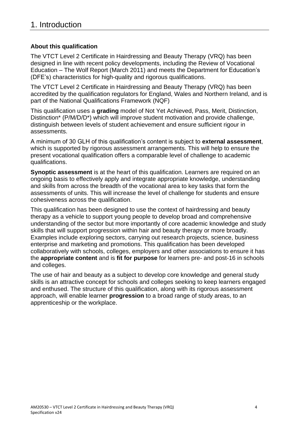# **About this qualification**

The VTCT Level 2 Certificate in Hairdressing and Beauty Therapy (VRQ) has been designed in line with recent policy developments, including the Review of Vocational Education – The Wolf Report (March 2011) and meets the Department for Education's (DFE's) characteristics for high-quality and rigorous qualifications.

The VTCT Level 2 Certificate in Hairdressing and Beauty Therapy (VRQ) has been accredited by the qualification regulators for England, Wales and Northern Ireland, and is part of the National Qualifications Framework (NQF)

This qualification uses a **grading** model of Not Yet Achieved, Pass, Merit, Distinction, Distinction<sup>\*</sup> (P/M/D/D<sup>\*</sup>) which will improve student motivation and provide challenge, distinguish between levels of student achievement and ensure sufficient rigour in assessments.

A minimum of 30 GLH of this qualification's content is subject to **external assessment**, which is supported by rigorous assessment arrangements. This will help to ensure the present vocational qualification offers a comparable level of challenge to academic qualifications.

**Synoptic assessment** is at the heart of this qualification. Learners are required on an ongoing basis to effectively apply and integrate appropriate knowledge, understanding and skills from across the breadth of the vocational area to key tasks that form the assessments of units. This will increase the level of challenge for students and ensure cohesiveness across the qualification.

This qualification has been designed to use the context of hairdressing and beauty therapy as a vehicle to support young people to develop broad and comprehensive understanding of the sector but more importantly of core academic knowledge and study skills that will support progression within hair and beauty therapy or more broadly. Examples include exploring sectors, carrying out research projects, science, business enterprise and marketing and promotions. This qualification has been developed collaboratively with schools, colleges, employers and other associations to ensure it has the **appropriate content** and is **fit for purpose** for learners pre- and post-16 in schools and colleges.

The use of hair and beauty as a subject to develop core knowledge and general study skills is an attractive concept for schools and colleges seeking to keep learners engaged and enthused. The structure of this qualification, along with its rigorous assessment approach, will enable learner **progression** to a broad range of study areas, to an apprenticeship or the workplace.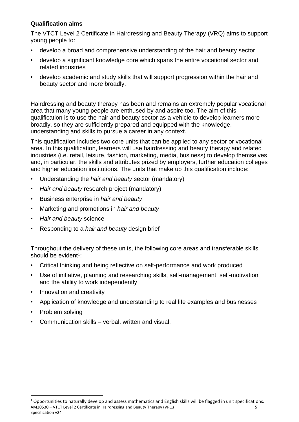# **Qualification aims**

The VTCT Level 2 Certificate in Hairdressing and Beauty Therapy (VRQ) aims to support young people to:

- develop a broad and comprehensive understanding of the hair and beauty sector
- develop a significant knowledge core which spans the entire vocational sector and related industries
- develop academic and study skills that will support progression within the hair and beauty sector and more broadly.

Hairdressing and beauty therapy has been and remains an extremely popular vocational area that many young people are enthused by and aspire too. The aim of this qualification is to use the hair and beauty sector as a vehicle to develop learners more broadly, so they are sufficiently prepared and equipped with the knowledge, understanding and skills to pursue a career in any context.

This qualification includes two core units that can be applied to any sector or vocational area. In this qualification, learners will use hairdressing and beauty therapy and related industries (i.e. retail, leisure, fashion, marketing, media, business) to develop themselves and, in particular, the skills and attributes prized by employers, further education colleges and higher education institutions. The units that make up this qualification include:

- Understanding the *hair and beauty* sector (mandatory)
- *Hair and beauty* research project (mandatory)
- Business enterprise in *hair and beauty*
- Marketing and promotions in *hair and beauty*
- *Hair and beauty* science
- Responding to a *hair and beauty* design brief

Throughout the delivery of these units, the following core areas and transferable skills should be evident<sup>1</sup>:

- Critical thinking and being reflective on self-performance and work produced
- Use of initiative, planning and researching skills, self-management, self-motivation and the ability to work independently
- Innovation and creativity
- Application of knowledge and understanding to real life examples and businesses
- Problem solving

 $\overline{a}$ 

• Communication skills – verbal, written and visual.

AM20530 – VTCT Level 2 Certificate in Hairdressing and Beauty Therapy (VRQ) 5 Specification v24  $1$  Opportunities to naturally develop and assess mathematics and English skills will be flagged in unit specifications.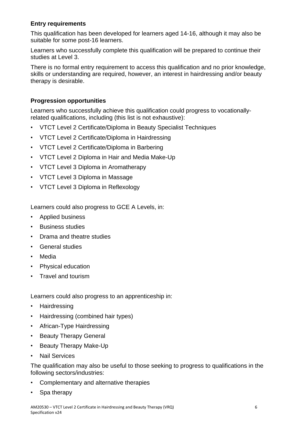# **Entry requirements**

This qualification has been developed for learners aged 14-16, although it may also be suitable for some post-16 learners.

Learners who successfully complete this qualification will be prepared to continue their studies at Level 3.

There is no formal entry requirement to access this qualification and no prior knowledge, skills or understanding are required, however, an interest in hairdressing and/or beauty therapy is desirable.

# **Progression opportunities**

Learners who successfully achieve this qualification could progress to vocationallyrelated qualifications, including (this list is not exhaustive):

- VTCT Level 2 Certificate/Diploma in Beauty Specialist Techniques
- VTCT Level 2 Certificate/Diploma in Hairdressing
- VTCT Level 2 Certificate/Diploma in Barbering
- VTCT Level 2 Diploma in Hair and Media Make-Up
- VTCT Level 3 Diploma in Aromatherapy
- VTCT Level 3 Diploma in Massage
- VTCT Level 3 Diploma in Reflexology

Learners could also progress to GCE A Levels, in:

- Applied business
- Business studies
- Drama and theatre studies
- General studies
- Media
- Physical education
- Travel and tourism

Learners could also progress to an apprenticeship in:

- Hairdressing
- Hairdressing (combined hair types)
- African-Type Hairdressing
- Beauty Therapy General
- Beauty Therapy Make-Up
- Nail Services

The qualification may also be useful to those seeking to progress to qualifications in the following sectors/industries:

- Complementary and alternative therapies
- Spa therapy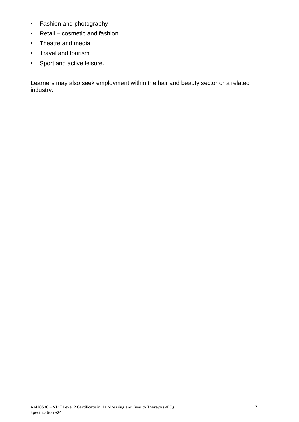- Fashion and photography
- Retail cosmetic and fashion
- Theatre and media
- Travel and tourism
- Sport and active leisure.

Learners may also seek employment within the hair and beauty sector or a related industry.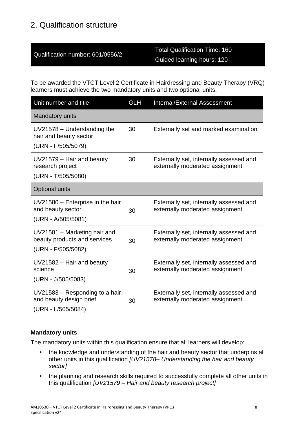# 2. Qualification structure

# Qualification number: 601/0556/2

# Total Qualification Time: 160 Guided learning hours: 120

To be awarded the VTCT Level 2 Certificate in Hairdressing and Beauty Therapy (VRQ) learners must achieve the two mandatory units and two optional units.

| Unit number and title                                                              | <b>GLH</b> | Internal/External Assessment                                               |  |  |
|------------------------------------------------------------------------------------|------------|----------------------------------------------------------------------------|--|--|
| <b>Mandatory units</b>                                                             |            |                                                                            |  |  |
| $UV21578 - Understanding$ the<br>hair and beauty sector<br>(URN - F/505/5079)      | 30         | Externally set and marked examination                                      |  |  |
| UV21579 - Hair and beauty<br>research project<br>(URN - T/505/5080)                | 30         | Externally set, internally assessed and<br>externally moderated assignment |  |  |
| <b>Optional units</b>                                                              |            |                                                                            |  |  |
| UV21580 - Enterprise in the hair<br>and beauty sector<br>(URN - A/505/5081)        | 30         | Externally set, internally assessed and<br>externally moderated assignment |  |  |
| UV21581 - Marketing hair and<br>beauty products and services<br>(URN - F/505/5082) | 30         | Externally set, internally assessed and<br>externally moderated assignment |  |  |
| $UV21582 - Hair$ and beauty<br>science<br>(URN - J/505/5083)                       | 30         | Externally set, internally assessed and<br>externally moderated assignment |  |  |
| UV21583 - Responding to a hair<br>and beauty design brief<br>(URN - L/505/5084)    | 30         | Externally set, internally assessed and<br>externally moderated assignment |  |  |

# **Mandatory units**

The mandatory units within this qualification ensure that all learners will develop:

- the knowledge and understanding of the hair and beauty sector that underpins all other units in this qualification *[UV21578– Understanding the hair and beauty sector]*
- the planning and research skills required to successfully complete all other units in this qualification *[UV21579 – Hair and beauty research project]*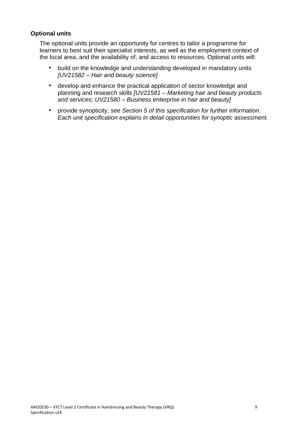# **Optional units**

The optional units provide an opportunity for centres to tailor a programme for learners to best suit their specialist interests, as well as the employment context of the local area, and the availability of, and access to resources. Optional units will:

- build on the knowledge and understanding developed in mandatory units *[UV21582 – Hair and beauty science]*
- develop and enhance the practical application of sector knowledge and planning and research skills *[UV21581 – Marketing hair and beauty products and services; UV21580 – Business enterprise in hair and beauty]*
- provide synopticity, *see Section 5 of this specification for further information. Each unit specification explains in detail opportunities for synoptic assessment.*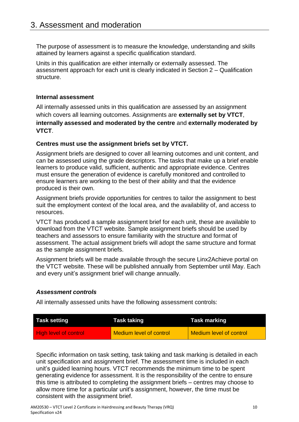The purpose of assessment is to measure the knowledge, understanding and skills attained by learners against a specific qualification standard.

Units in this qualification are either internally or externally assessed. The assessment approach for each unit is clearly indicated in Section 2 – Qualification structure.

# **Internal assessment**

All internally assessed units in this qualification are assessed by an assignment which covers all learning outcomes. Assignments are **externally set by VTCT**, **internally assessed and moderated by the centre** and **externally moderated by VTCT**.

# **Centres must use the assignment briefs set by VTCT.**

Assignment briefs are designed to cover all learning outcomes and unit content, and can be assessed using the grade descriptors. The tasks that make up a brief enable learners to produce valid, sufficient, authentic and appropriate evidence. Centres must ensure the generation of evidence is carefully monitored and controlled to ensure learners are working to the best of their ability and that the evidence produced is their own.

Assignment briefs provide opportunities for centres to tailor the assignment to best suit the employment context of the local area, and the availability of, and access to resources.

VTCT has produced a sample assignment brief for each unit, these are available to download from the VTCT website. Sample assignment briefs should be used by teachers and assessors to ensure familiarity with the structure and format of assessment. The actual assignment briefs will adopt the same structure and format as the sample assignment briefs.

Assignment briefs will be made available through the secure Linx2Achieve portal on the VTCT website. These will be published annually from September until May. Each and every unit's assignment brief will change annually.

# *Assessment controls*

All internally assessed units have the following assessment controls:

| <b>Task setting</b>          | Task taking             | Task marking                   |
|------------------------------|-------------------------|--------------------------------|
| <b>High level of control</b> | Medium level of control | <b>Medium level of control</b> |

Specific information on task setting, task taking and task marking is detailed in each unit specification and assignment brief. The assessment time is included in each unit's guided learning hours. VTCT recommends the minimum time to be spent generating evidence for assessment. It is the responsibility of the centre to ensure this time is attributed to completing the assignment briefs – centres may choose to allow more time for a particular unit's assignment, however, the time must be consistent with the assignment brief.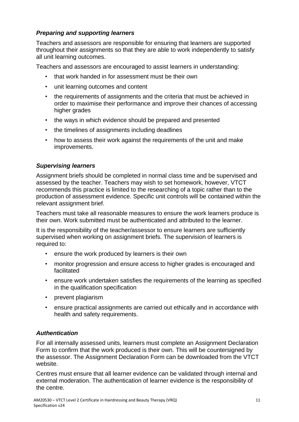# *Preparing and supporting learners*

Teachers and assessors are responsible for ensuring that learners are supported throughout their assignments so that they are able to work independently to satisfy all unit learning outcomes.

Teachers and assessors are encouraged to assist learners in understanding:

- that work handed in for assessment must be their own
- unit learning outcomes and content
- the requirements of assignments and the criteria that must be achieved in order to maximise their performance and improve their chances of accessing higher grades
- the ways in which evidence should be prepared and presented
- the timelines of assignments including deadlines
- how to assess their work against the requirements of the unit and make improvements.

# *Supervising learners*

Assignment briefs should be completed in normal class time and be supervised and assessed by the teacher. Teachers may wish to set homework, however, VTCT recommends this practice is limited to the researching of a topic rather than to the production of assessment evidence. Specific unit controls will be contained within the relevant assignment brief.

Teachers must take all reasonable measures to ensure the work learners produce is their own. Work submitted must be authenticated and attributed to the learner.

It is the responsibility of the teacher/assessor to ensure learners are sufficiently supervised when working on assignment briefs. The supervision of learners is required to:

- ensure the work produced by learners is their own
- monitor progression and ensure access to higher grades is encouraged and facilitated
- ensure work undertaken satisfies the requirements of the learning as specified in the qualification specification
- prevent plagiarism
- ensure practical assignments are carried out ethically and in accordance with health and safety requirements.

# *Authentication*

For all internally assessed units, learners must complete an Assignment Declaration Form to confirm that the work produced is their own. This will be countersigned by the assessor. The Assignment Declaration Form can be downloaded from the VTCT website.

Centres must ensure that all learner evidence can be validated through internal and external moderation. The authentication of learner evidence is the responsibility of the centre.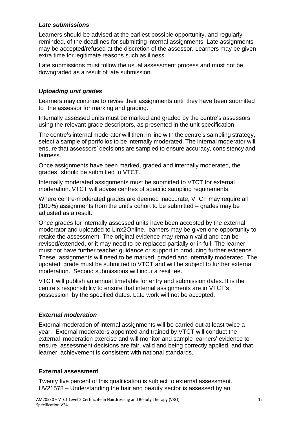# *Late submissions*

Learners should be advised at the earliest possible opportunity, and regularly reminded, of the deadlines for submitting internal assignments. Late assignments may be accepted/refused at the discretion of the assessor. Learners may be given extra time for legitimate reasons such as illness.

Late submissions must follow the usual assessment process and must not be downgraded as a result of late submission.

# *Uploading unit grades*

Learners may continue to revise their assignments until they have been submitted to the assessor for marking and grading.

Internally assessed units must be marked and graded by the centre's assessors using the relevant grade descriptors, as presented in the unit specification.

The centre's internal moderator will then, in line with the centre's sampling strategy, select a sample of portfolios to be internally moderated. The internal moderator will ensure that assessors' decisions are sampled to ensure accuracy, consistency and fairness.

Once assignments have been marked, graded and internally moderated, the grades should be submitted to VTCT.

Internally moderated assignments must be submitted to VTCT for external moderation. VTCT will advise centres of specific sampling requirements.

Where centre-moderated grades are deemed inaccurate, VTCT may require all (100%) assignments from the unit's cohort to be submitted – grades may be adjusted as a result.

Once grades for internally assessed units have been accepted by the external moderator and uploaded to Linx2Online, learners may be given one opportunity to retake the assessment. The original evidence may remain valid and can be revised/extended, or it may need to be replaced partially or in full. The learner must not have further teacher guidance or support in producing further evidence. These assignments will need to be marked, graded and internally moderated. The updated grade must be submitted to VTCT and will be subject to further external moderation. Second submissions will incur a resit fee.

VTCT will publish an annual timetable for entry and submission dates. It is the centre's responsibility to ensure that internal assignments are in VTCT's possession by the specified dates. Late work will not be accepted.

# *External moderation*

External moderation of internal assignments will be carried out at least twice a year. External moderators appointed and trained by VTCT will conduct the external moderation exercise and will monitor and sample learners' evidence to ensure assessment decisions are fair, valid and being correctly applied, and that learner achievement is consistent with national standards.

# **External assessment**

Twenty five percent of this qualification is subject to external assessment. UV21578 – Understanding the hair and beauty sector is assessed by an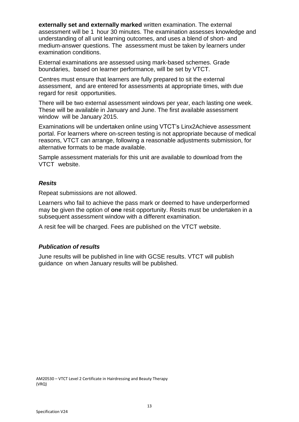**externally set and externally marked** written examination. The external assessment will be 1 hour 30 minutes. The examination assesses knowledge and understanding of all unit learning outcomes, and uses a blend of short- and medium-answer questions. The assessment must be taken by learners under examination conditions.

External examinations are assessed using mark-based schemes. Grade boundaries, based on learner performance, will be set by VTCT.

Centres must ensure that learners are fully prepared to sit the external assessment, and are entered for assessments at appropriate times, with due regard for resit opportunities.

There will be two external assessment windows per year, each lasting one week. These will be available in January and June. The first available assessment window will be January 2015.

Examinations will be undertaken online using VTCT's Linx2Achieve assessment portal. For learners where on-screen testing is not appropriate because of medical reasons, VTCT can arrange, following a reasonable adjustments submission, for alternative formats to be made available.

Sample assessment materials for this unit are available to download from the VTCT website.

#### *Resits*

Repeat submissions are not allowed.

Learners who fail to achieve the pass mark or deemed to have underperformed may be given the option of **one** resit opportunity. Resits must be undertaken in a subsequent assessment window with a different examination.

A resit fee will be charged. Fees are published on the VTCT website.

# *Publication of results*

June results will be published in line with GCSE results. VTCT will publish guidance on when January results will be published.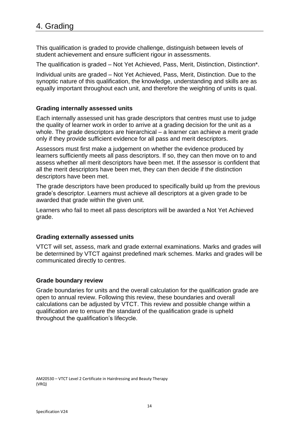This qualification is graded to provide challenge, distinguish between levels of student achievement and ensure sufficient rigour in assessments.

The qualification is graded – Not Yet Achieved, Pass, Merit, Distinction, Distinction\*,

Individual units are graded – Not Yet Achieved, Pass, Merit, Distinction. Due to the synoptic nature of this qualification, the knowledge, understanding and skills are as equally important throughout each unit, and therefore the weighting of units is qual.

# **Grading internally assessed units**

Each internally assessed unit has grade descriptors that centres must use to judge the quality of learner work in order to arrive at a grading decision for the unit as a whole. The grade descriptors are hierarchical – a learner can achieve a merit grade only if they provide sufficient evidence for all pass and merit descriptors.

Assessors must first make a judgement on whether the evidence produced by learners sufficiently meets all pass descriptors. If so, they can then move on to and assess whether all merit descriptors have been met. If the assessor is confident that all the merit descriptors have been met, they can then decide if the distinction descriptors have been met.

The grade descriptors have been produced to specifically build up from the previous grade's descriptor. Learners must achieve all descriptors at a given grade to be awarded that grade within the given unit.

Learners who fail to meet all pass descriptors will be awarded a Not Yet Achieved grade.

# **Grading externally assessed units**

VTCT will set, assess, mark and grade external examinations. Marks and grades will be determined by VTCT against predefined mark schemes. Marks and grades will be communicated directly to centres.

# **Grade boundary review**

Grade boundaries for units and the overall calculation for the qualification grade are open to annual review. Following this review, these boundaries and overall calculations can be adjusted by VTCT. This review and possible change within a qualification are to ensure the standard of the qualification grade is upheld throughout the qualification's lifecycle.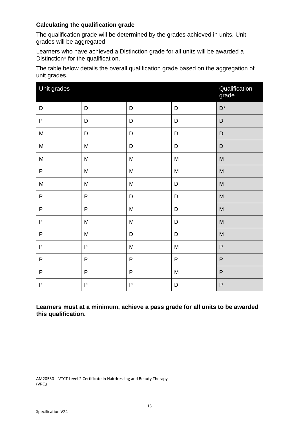# **Calculating the qualification grade**

The qualification grade will be determined by the grades achieved in units. Unit grades will be aggregated.

Learners who have achieved a Distinction grade for all units will be awarded a Distinction\* for the qualification.

The table below details the overall qualification grade based on the aggregation of unit grades.

| Unit grades                                                                           | Qualification<br>grade                                                                                     |             |                                                                                                            |                                                                                                            |
|---------------------------------------------------------------------------------------|------------------------------------------------------------------------------------------------------------|-------------|------------------------------------------------------------------------------------------------------------|------------------------------------------------------------------------------------------------------------|
| D                                                                                     | D                                                                                                          | D           | D                                                                                                          | $D^*$                                                                                                      |
| ${\sf P}$                                                                             | D                                                                                                          | $\mathsf D$ | D                                                                                                          | D                                                                                                          |
| ${\sf M}$                                                                             | D                                                                                                          | D           | D                                                                                                          | D                                                                                                          |
| ${\sf M}$                                                                             | M                                                                                                          | D           | D                                                                                                          | D                                                                                                          |
| ${\sf M}$                                                                             | M                                                                                                          | ${\sf M}$   | $\mathsf{M}% _{T}=\mathsf{M}_{T}\!\left( a,b\right) ,\ \mathsf{M}_{T}=\mathsf{M}_{T}\!\left( a,b\right) ,$ | $\mathsf{M}% _{T}=\mathsf{M}_{T}\!\left( a,b\right) ,\ \mathsf{M}_{T}=\mathsf{M}_{T}\!\left( a,b\right) ,$ |
| $\mathsf P$                                                                           | $\mathsf{M}% _{T}=\mathsf{M}_{T}\!\left( a,b\right) ,\ \mathsf{M}_{T}=\mathsf{M}_{T}\!\left( a,b\right) ,$ | ${\sf M}$   | ${\sf M}$                                                                                                  | ${\sf M}$                                                                                                  |
| $\mathsf{M}% _{T}=\mathsf{M}_{T}\!\left( a,b\right) ,\ \mathsf{M}_{T}=\mathsf{M}_{T}$ | M                                                                                                          | ${\sf M}$   | D                                                                                                          | $\mathsf{M}% _{T}=\mathsf{M}_{T}\!\left( a,b\right) ,\ \mathsf{M}_{T}=\mathsf{M}_{T}\!\left( a,b\right) ,$ |
| $\sf P$                                                                               | $\mathsf{P}$                                                                                               | D           | D                                                                                                          | $\mathsf{M}% _{T}=\mathsf{M}_{T}\!\left( a,b\right) ,\ \mathsf{M}_{T}=\mathsf{M}_{T}\!\left( a,b\right) ,$ |
| $\sf P$                                                                               | $\sf P$                                                                                                    | ${\sf M}$   | D                                                                                                          | $\mathsf{M}% _{T}=\mathsf{M}_{T}\!\left( a,b\right) ,\ \mathsf{M}_{T}=\mathsf{M}_{T}\!\left( a,b\right) ,$ |
| $\mathsf{P}$                                                                          | M                                                                                                          | ${\sf M}$   | D                                                                                                          | $\mathsf{M}% _{T}=\mathsf{M}_{T}\!\left( a,b\right) ,\ \mathsf{M}_{T}=\mathsf{M}_{T}\!\left( a,b\right) ,$ |
| $\mathsf{P}$                                                                          | M                                                                                                          | D           | D                                                                                                          | $\mathsf{M}% _{T}=\mathsf{M}_{T}\!\left( a,b\right) ,\ \mathsf{M}_{T}=\mathsf{M}_{T}\!\left( a,b\right) ,$ |
| $\sf P$                                                                               | ${\sf P}$                                                                                                  | M           | M                                                                                                          | ${\sf P}$                                                                                                  |
| $\mathsf{P}$                                                                          | $\sf P$                                                                                                    | P           | $\sf P$                                                                                                    | ${\sf P}$                                                                                                  |
| $\mathsf{P}$                                                                          | $\mathsf{P}$                                                                                               | P           | ${\sf M}$                                                                                                  | $\mathsf{P}$                                                                                               |
| $\mathsf{P}$                                                                          | $\mathsf{P}$                                                                                               | P           | D                                                                                                          | $\mathsf{P}$                                                                                               |

**Learners must at a minimum, achieve a pass grade for all units to be awarded this qualification.**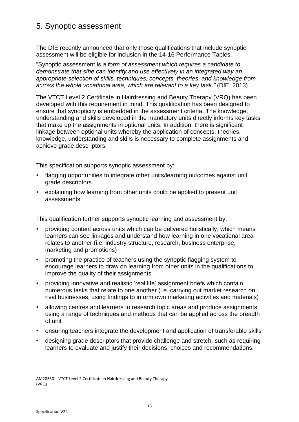# 5. Synoptic assessment

The DfE recently announced that only those qualifications that include synoptic assessment will be eligible for inclusion in the 14-16 Performance Tables.

"Synoptic assessment is *a form of assessment which requires a candidate to demonstrate that s/he can identify and use effectively in an integrated way an appropriate selection of skills, techniques, concepts, theories, and knowledge from across the whole vocational area, which are relevant to a key task."* (DfE, 2013)

The VTCT Level 2 Certificate in Hairdressing and Beauty Therapy (VRQ) has been developed with this requirement in mind. This qualification has been designed to ensure that synopticity is embedded in the assessment criteria. The knowledge, understanding and skills developed in the mandatory units directly informs key tasks that make up the assignments in optional units. In addition, there is significant linkage between optional units whereby the application of concepts, theories, knowledge, understanding and skills is necessary to complete assignments and achieve grade descriptors.

This specification supports synoptic assessment by:

- flagging opportunities to integrate other units/learning outcomes against unit grade descriptors
- explaining how learning from other units could be applied to present unit assessments

This qualification further supports synoptic learning and assessment by:

- providing content across units which can be delivered holistically, which means learners can see linkages and understand how learning in one vocational area relates to another (i.e. industry structure, research, business enterprise, marketing and promotions)
- promoting the practice of teachers using the synoptic flagging system to encourage learners to draw on learning from other units in the qualifications to improve the quality of their assignments
- providing innovative and realistic 'real life' assignment briefs which contain numerous tasks that relate to one another (i.e. carrying out market research on rival businesses, using findings to inform own marketing activities and materials)
- allowing centres and learners to research topic areas and produce assignments using a range of techniques and methods that can be applied across the breadth of unit
- ensuring teachers integrate the development and application of transferable skills
- designing grade descriptors that provide challenge and stretch, such as requiring learners to evaluate and justify their decisions, choices and recommendations.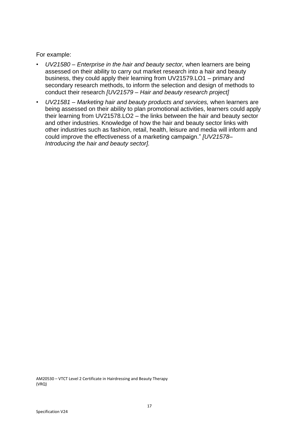For example:

- *UV21580 – Enterprise in the hair and beauty sector,* when learners are being assessed on their ability to carry out market research into a hair and beauty business, they could apply their learning from UV21579.LO1 – primary and secondary research methods, to inform the selection and design of methods to conduct their research *[UV21579 – Hair and beauty research project]*
- *UV21581 – Marketing hair and beauty products and services,* when learners are being assessed on their ability to plan promotional activities, learners could apply their learning from UV21578.LO2 – the links between the hair and beauty sector and other industries. Knowledge of how the hair and beauty sector links with other industries such as fashion, retail, health, leisure and media will inform and could improve the effectiveness of a marketing campaign." *[UV21578– Introducing the hair and beauty sector].*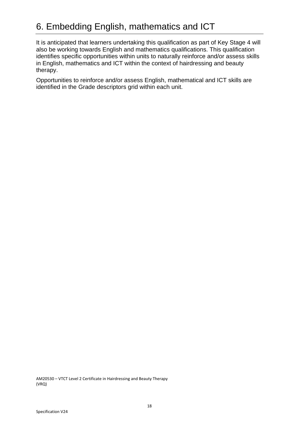It is anticipated that learners undertaking this qualification as part of Key Stage 4 will also be working towards English and mathematics qualifications. This qualification identifies specific opportunities within units to naturally reinforce and/or assess skills in English, mathematics and ICT within the context of hairdressing and beauty therapy.

Opportunities to reinforce and/or assess English, mathematical and ICT skills are identified in the Grade descriptors grid within each unit.

AM20530 – VTCT Level 2 Certificate in Hairdressing and Beauty Therapy (VRQ)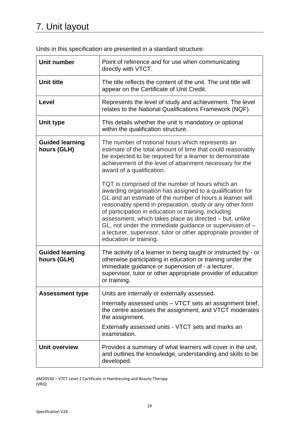|  |  |  | Units in this specification are presented in a standard structure: |
|--|--|--|--------------------------------------------------------------------|
|--|--|--|--------------------------------------------------------------------|

| <b>Unit number</b>                    | Point of reference and for use when communicating<br>directly with VTCT.                                                                                                                                                                                                                                                                                                                                                                                                                                              |  |
|---------------------------------------|-----------------------------------------------------------------------------------------------------------------------------------------------------------------------------------------------------------------------------------------------------------------------------------------------------------------------------------------------------------------------------------------------------------------------------------------------------------------------------------------------------------------------|--|
| <b>Unit title</b>                     | The title reflects the content of the unit. The unit title will<br>appear on the Certificate of Unit Credit.                                                                                                                                                                                                                                                                                                                                                                                                          |  |
| Level                                 | Represents the level of study and achievement. The level<br>relates to the National Qualifications Framework (NQF).                                                                                                                                                                                                                                                                                                                                                                                                   |  |
| Unit type                             | This details whether the unit is mandatory or optional<br>within the qualification structure.                                                                                                                                                                                                                                                                                                                                                                                                                         |  |
| <b>Guided learning</b><br>hours (GLH) | The number of notional hours which represents an<br>estimate of the total amount of time that could reasonably<br>be expected to be required for a learner to demonstrate<br>achievement of the level of attainment necessary for the<br>award of a qualification.                                                                                                                                                                                                                                                    |  |
|                                       | TQT is comprised of the number of hours which an<br>awarding organisation has assigned to a qualification for<br>GL and an estimate of the number of hours a learner will<br>reasonably spend in preparation, study or any other form<br>of participation in education or training, including<br>assessment, which takes place as directed - but, unlike<br>$GL$ , not under the immediate guidance or supervision of $-$<br>a lecturer, supervisor, tutor or other appropriate provider of<br>education or training. |  |
| <b>Guided learning</b><br>hours (GLH) | The activity of a learner in being taught or instructed by - or<br>otherwise participating in education or training under the<br>immediate guidance or supervision of - a lecturer,<br>supervisor, tutor or other appropriate provider of education<br>or training.                                                                                                                                                                                                                                                   |  |
| <b>Assessment type</b>                | Units are internally or externally assessed.                                                                                                                                                                                                                                                                                                                                                                                                                                                                          |  |
|                                       | Internally assessed units – VTCT sets an assignment brief,<br>the centre assesses the assignment, and VTCT moderates<br>the assignment.                                                                                                                                                                                                                                                                                                                                                                               |  |
|                                       | Externally assessed units - VTCT sets and marks an<br>examination.                                                                                                                                                                                                                                                                                                                                                                                                                                                    |  |
| <b>Unit overview</b>                  | Provides a summary of what learners will cover in the unit,<br>and outlines the knowledge, understanding and skills to be<br>developed.                                                                                                                                                                                                                                                                                                                                                                               |  |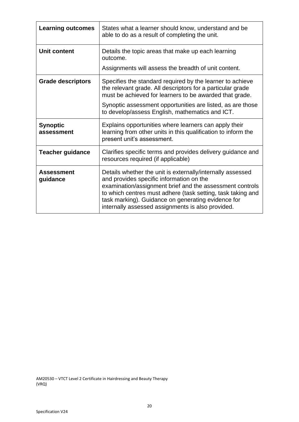| <b>Learning outcomes</b>      | States what a learner should know, understand and be<br>able to do as a result of completing the unit.                                                                                                                                                                                                                                       |
|-------------------------------|----------------------------------------------------------------------------------------------------------------------------------------------------------------------------------------------------------------------------------------------------------------------------------------------------------------------------------------------|
| <b>Unit content</b>           | Details the topic areas that make up each learning<br>outcome.                                                                                                                                                                                                                                                                               |
|                               | Assignments will assess the breadth of unit content.                                                                                                                                                                                                                                                                                         |
| <b>Grade descriptors</b>      | Specifies the standard required by the learner to achieve<br>the relevant grade. All descriptors for a particular grade<br>must be achieved for learners to be awarded that grade.                                                                                                                                                           |
|                               | Synoptic assessment opportunities are listed, as are those<br>to develop/assess English, mathematics and ICT.                                                                                                                                                                                                                                |
| <b>Synoptic</b><br>assessment | Explains opportunities where learners can apply their<br>learning from other units in this qualification to inform the<br>present unit's assessment.                                                                                                                                                                                         |
| <b>Teacher guidance</b>       | Clarifies specific terms and provides delivery guidance and<br>resources required (if applicable)                                                                                                                                                                                                                                            |
| <b>Assessment</b><br>guidance | Details whether the unit is externally/internally assessed<br>and provides specific information on the<br>examination/assignment brief and the assessment controls<br>to which centres must adhere (task setting, task taking and<br>task marking). Guidance on generating evidence for<br>internally assessed assignments is also provided. |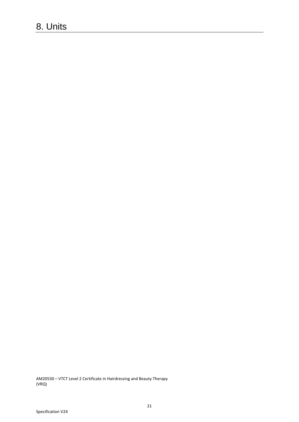# 8. Units

AM20530 – VTCT Level 2 Certificate in Hairdressing and Beauty Therapy (VRQ)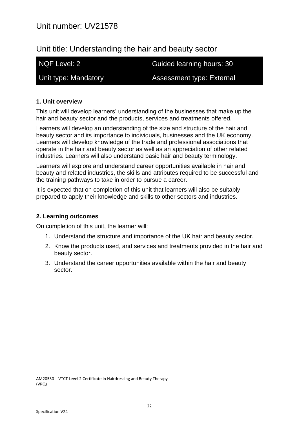# Unit title: Understanding the hair and beauty sector

NQF Level: 2 Guided learning hours: 30

Unit type: Mandatory **Assessment type: External** 

# **1. Unit overview**

This unit will develop learners' understanding of the businesses that make up the hair and beauty sector and the products, services and treatments offered.

Learners will develop an understanding of the size and structure of the hair and beauty sector and its importance to individuals, businesses and the UK economy. Learners will develop knowledge of the trade and professional associations that operate in the hair and beauty sector as well as an appreciation of other related industries. Learners will also understand basic hair and beauty terminology.

Learners will explore and understand career opportunities available in hair and beauty and related industries, the skills and attributes required to be successful and the training pathways to take in order to pursue a career.

It is expected that on completion of this unit that learners will also be suitably prepared to apply their knowledge and skills to other sectors and industries.

# **2. Learning outcomes**

On completion of this unit, the learner will:

- 1. Understand the structure and importance of the UK hair and beauty sector.
- 2. Know the products used, and services and treatments provided in the hair and beauty sector.
- 3. Understand the career opportunities available within the hair and beauty sector.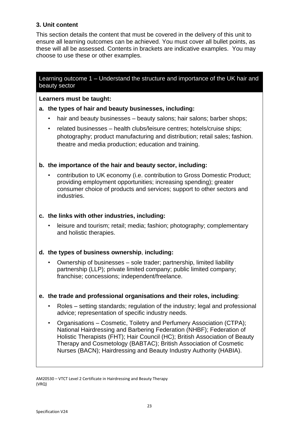# **3. Unit content**

This section details the content that must be covered in the delivery of this unit to ensure all learning outcomes can be achieved. You must cover all bullet points, as these will all be assessed. Contents in brackets are indicative examples. You may choose to use these or other examples.

Learning outcome 1 – Understand the structure and importance of the UK hair and beauty sector

**Learners must be taught:**

# **a. the types of hair and beauty businesses, including:**

- hair and beauty businesses beauty salons; hair salons; barber shops;
- related businesses health clubs/leisure centres; hotels/cruise ships; photography; product manufacturing and distribution; retail sales; fashion. theatre and media production; education and training.

# **b. the importance of the hair and beauty sector, including:**

• contribution to UK economy (i.e. contribution to Gross Domestic Product; providing employment opportunities; increasing spending); greater consumer choice of products and services; support to other sectors and industries.

# **c. the links with other industries, including:**

• leisure and tourism; retail; media; fashion; photography; complementary and holistic therapies.

# **d. the types of business ownership**, **including:**

• Ownership of businesses – sole trader; partnership, limited liability partnership (LLP); private limited company; public limited company; franchise; concessions; independent/freelance.

# **e. the trade and professional organisations and their roles, including**:

- Roles setting standards; regulation of the industry; legal and professional advice; representation of specific industry needs.
- Organisations Cosmetic, Toiletry and Perfumery Association (CTPA); National Hairdressing and Barbering Federation (NHBF); Federation of Holistic Therapists (FHT); Hair Council (HC); British Association of Beauty Therapy and Cosmetology (BABTAC); British Association of Cosmetic Nurses (BACN); Hairdressing and Beauty Industry Authority (HABIA).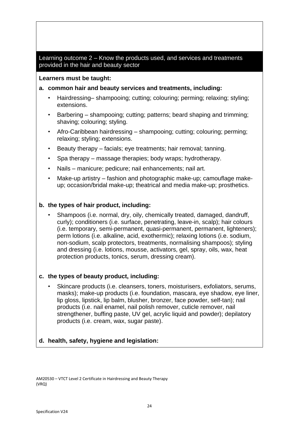# Learning outcome 2 – Know the products used, and services and treatments provided in the hair and beauty sector

# **Learners must be taught:**

# **a. common hair and beauty services and treatments, including:**

- Hairdressing– shampooing; cutting; colouring; perming; relaxing; styling; extensions.
- Barbering shampooing; cutting; patterns; beard shaping and trimming; shaving; colouring; styling.
- Afro-Caribbean hairdressing shampooing; cutting; colouring; perming; relaxing; styling; extensions.
- Beauty therapy facials; eye treatments; hair removal; tanning.
- Spa therapy massage therapies; body wraps; hydrotherapy.
- Nails manicure; pedicure; nail enhancements; nail art.
- Make-up artistry fashion and photographic make-up; camouflage makeup; occasion/bridal make-up; theatrical and media make-up; prosthetics.

# **b. the types of hair product, including:**

• Shampoos (i.e. normal, dry, oily, chemically treated, damaged, dandruff, curly); conditioners (i.e. surface, penetrating, leave-in, scalp); hair colours (i.e. temporary, semi-permanent, quasi-permanent, permanent, lighteners); perm lotions (i.e. alkaline, acid, exothermic); relaxing lotions (i.e. sodium, non-sodium, scalp protectors, treatments, normalising shampoos); styling and dressing (i.e. lotions, mousse, activators, gel, spray, oils, wax, heat protection products, tonics, serum, dressing cream).

# **c. the types of beauty product, including:**

• Skincare products (i.e. cleansers, toners, moisturisers, exfoliators, serums, masks); make-up products (i.e. foundation, mascara, eye shadow, eye liner, lip gloss, lipstick, lip balm, blusher, bronzer, face powder, self-tan); nail products (i.e. nail enamel, nail polish remover, cuticle remover, nail strengthener, buffing paste, UV gel, acrylic liquid and powder); depilatory products (i.e. cream, wax, sugar paste).

# **d. health, safety, hygiene and legislation:**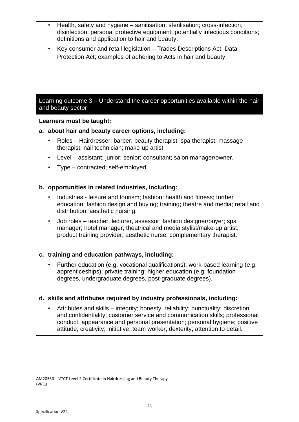AM20530 – VTCT Level 2 Certificate in Hairdressing and Beauty Therapy (VRQ) • Health, safety and hygiene – sanitisation; sterilisation; cross-infection; disinfection; personal protective equipment; potentially infectious conditions; definitions and application to hair and beauty. • Key consumer and retail legislation – Trades Descriptions Act, Data Protection Act; examples of adhering to Acts in hair and beauty. Learning outcome 3 – Understand the career opportunities available within the hair and beauty sector **Learners must be taught: a. about hair and beauty career options, including:** • Roles – Hairdresser; barber; beauty therapist; spa therapist; massage therapist; nail technician; make-up artist. • Level – assistant; junior; senior; consultant; salon manager/owner. • Type – contracted; self-employed. **b. opportunities in related industries, including:** • Industries - leisure and tourism; fashion; health and fitness; further education; fashion design and buying; training; theatre and media; retail and distribution; aesthetic nursing. • Job roles – teacher, lecturer, assessor; fashion designer/buyer; spa manager; hotel manager; theatrical and media stylist/make-up artist; product training provider; aesthetic nurse; complementary therapist. **c. training and education pathways, including:** • Further education (e.g. vocational qualifications); work-based learning (e.g. apprenticeships); private training; higher education (e.g. foundation degrees, undergraduate degrees, post-graduate degrees). **d. skills and attributes required by industry professionals, including:** • Attributes and skills – integrity; honesty; reliability; punctuality; discretion and confidentiality; customer service and communication skills; professional conduct, appearance and personal presentation; personal hygiene; positive attitude; creativity; initiative; team worker; dexterity; attention to detail.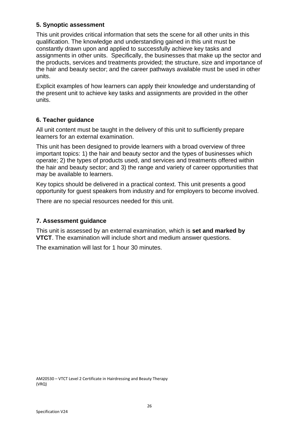# **5. Synoptic assessment**

This unit provides critical information that sets the scene for all other units in this qualification. The knowledge and understanding gained in this unit must be constantly drawn upon and applied to successfully achieve key tasks and assignments in other units. Specifically, the businesses that make up the sector and the products, services and treatments provided; the structure, size and importance of the hair and beauty sector; and the career pathways available must be used in other units.

Explicit examples of how learners can apply their knowledge and understanding of the present unit to achieve key tasks and assignments are provided in the other units.

# **6. Teacher guidance**

All unit content must be taught in the delivery of this unit to sufficiently prepare learners for an external examination.

This unit has been designed to provide learners with a broad overview of three important topics: 1) the hair and beauty sector and the types of businesses which operate; 2) the types of products used, and services and treatments offered within the hair and beauty sector; and 3) the range and variety of career opportunities that may be available to learners.

Key topics should be delivered in a practical context. This unit presents a good opportunity for guest speakers from industry and for employers to become involved.

There are no special resources needed for this unit.

# **7. Assessment guidance**

This unit is assessed by an external examination, which is **set and marked by VTCT**. The examination will include short and medium answer questions.

The examination will last for 1 hour 30 minutes.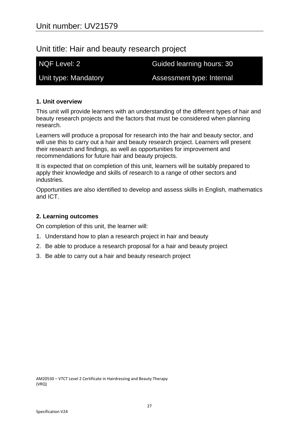# Unit title: Hair and beauty research project

NQF Level: 2 Guided learning hours: 30

Unit type: Mandatory **Assessment type: Internal** 

# **1. Unit overview**

This unit will provide learners with an understanding of the different types of hair and beauty research projects and the factors that must be considered when planning research.

Learners will produce a proposal for research into the hair and beauty sector, and will use this to carry out a hair and beauty research project. Learners will present their research and findings, as well as opportunities for improvement and recommendations for future hair and beauty projects.

It is expected that on completion of this unit, learners will be suitably prepared to apply their knowledge and skills of research to a range of other sectors and industries.

Opportunities are also identified to develop and assess skills in English, mathematics and ICT.

# **2. Learning outcomes**

On completion of this unit, the learner will:

- 1. Understand how to plan a research project in hair and beauty
- 2. Be able to produce a research proposal for a hair and beauty project
- 3. Be able to carry out a hair and beauty research project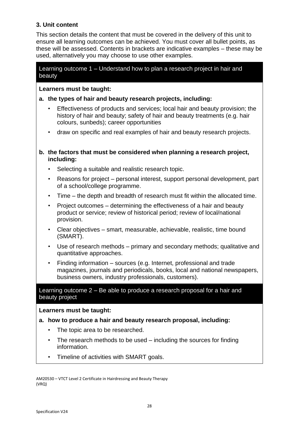# **3. Unit content**

This section details the content that must be covered in the delivery of this unit to ensure all learning outcomes can be achieved. You must cover all bullet points, as these will be assessed. Contents in brackets are indicative examples – these may be used, alternatively you may choose to use other examples.

# Learning outcome 1 – Understand how to plan a research project in hair and beauty

# **Learners must be taught:**

# **a. the types of hair and beauty research projects, including:**

- Effectiveness of products and services; local hair and beauty provision; the history of hair and beauty; safety of hair and beauty treatments (e.g. hair colours, sunbeds); career opportunities
- draw on specific and real examples of hair and beauty research projects.

# **b. the factors that must be considered when planning a research project, including:**

- Selecting a suitable and realistic research topic.
- Reasons for project personal interest, support personal development, part of a school/college programme.
- Time the depth and breadth of research must fit within the allocated time.
- Project outcomes determining the effectiveness of a hair and beauty product or service; review of historical period; review of local/national provision.
- Clear objectives smart, measurable, achievable, realistic, time bound (SMART).
- Use of research methods primary and secondary methods; qualitative and quantitative approaches.
- Finding information sources (e.g. Internet, professional and trade magazines, journals and periodicals, books, local and national newspapers, business owners, industry professionals, customers).

# Learning outcome 2 – Be able to produce a research proposal for a hair and beauty project

# **Learners must be taught:**

- **a. how to produce a hair and beauty research proposal, including:**
	- The topic area to be researched.
	- The research methods to be used including the sources for finding information.
	- Timeline of activities with SMART goals.

AM20530 – VTCT Level 2 Certificate in Hairdressing and Beauty Therapy (VRQ)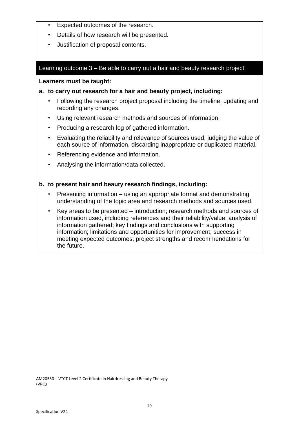- Expected outcomes of the research.
- Details of how research will be presented.
- Justification of proposal contents.

## Learning outcome 3 – Be able to carry out a hair and beauty research project

#### **Learners must be taught:**

# **a. to carry out research for a hair and beauty project, including:**

- Following the research project proposal including the timeline, updating and recording any changes.
- Using relevant research methods and sources of information.
- Producing a research log of gathered information.
- Evaluating the reliability and relevance of sources used, judging the value of each source of information, discarding inappropriate or duplicated material.
- Referencing evidence and information.
- Analysing the information/data collected.

#### **b. to present hair and beauty research findings, including:**

- Presenting information using an appropriate format and demonstrating understanding of the topic area and research methods and sources used.
- Key areas to be presented introduction; research methods and sources of information used, including references and their reliability/value; analysis of information gathered; key findings and conclusions with supporting information; limitations and opportunities for improvement; success in meeting expected outcomes; project strengths and recommendations for the future.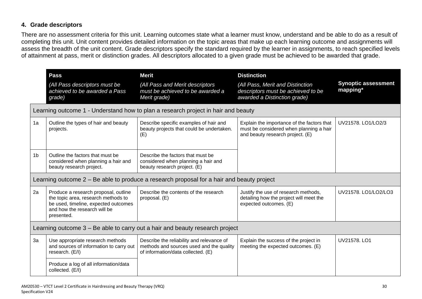# **4. Grade descriptors**

There are no assessment criteria for this unit. Learning outcomes state what a learner must know, understand and be able to do as a result of completing this unit. Unit content provides detailed information on the topic areas that make up each learning outcome and assignments will assess the breadth of the unit content. Grade descriptors specify the standard required by the learner in assignments, to reach specified levels of attainment at pass, merit or distinction grades. All descriptors allocated to a given grade must be achieved to be awarded that grade.

|                | Pass<br>(All Pass descriptors must be<br>achieved to be awarded a Pass<br>grade)                                                                                  | <b>Merit</b><br>(All Pass and Merit descriptors<br>must be achieved to be awarded a<br>Merit grade)                         | <b>Distinction</b><br>(All Pass, Merit and Distinction<br>descriptors must be achieved to be<br>awarded a Distinction grade) | <b>Synoptic assessment</b><br>mapping* |  |
|----------------|-------------------------------------------------------------------------------------------------------------------------------------------------------------------|-----------------------------------------------------------------------------------------------------------------------------|------------------------------------------------------------------------------------------------------------------------------|----------------------------------------|--|
|                |                                                                                                                                                                   | Learning outcome 1 - Understand how to plan a research project in hair and beauty                                           |                                                                                                                              |                                        |  |
| 1a             | Outline the types of hair and beauty<br>projects.                                                                                                                 | Describe specific examples of hair and<br>beauty projects that could be undertaken.<br>(E)                                  | Explain the importance of the factors that<br>must be considered when planning a hair<br>and beauty research project. (E)    | UV21578. LO1/LO2/3                     |  |
| 1 <sub>b</sub> | Outline the factors that must be<br>considered when planning a hair and<br>beauty research project.                                                               | Describe the factors that must be<br>considered when planning a hair and<br>beauty research project. (E)                    |                                                                                                                              |                                        |  |
|                |                                                                                                                                                                   | Learning outcome 2 – Be able to produce a research proposal for a hair and beauty project                                   |                                                                                                                              |                                        |  |
| 2a             | Produce a research proposal, outline<br>the topic area, research methods to<br>be used, timeline, expected outcomes<br>and how the research will be<br>presented. | Describe the contents of the research<br>proposal. (E)                                                                      | Justify the use of research methods,<br>detailing how the project will meet the<br>expected outcomes. (E)                    | UV21578, LO1/LO2/LO3                   |  |
|                | Learning outcome 3 – Be able to carry out a hair and beauty research project                                                                                      |                                                                                                                             |                                                                                                                              |                                        |  |
| 3a             | Use appropriate research methods<br>and sources of information to carry out<br>research. (E/I)                                                                    | Describe the reliability and relevance of<br>methods and sources used and the quality<br>of information/data collected. (E) | Explain the success of the project in<br>meeting the expected outcomes. (E)                                                  | UV21578, LO1                           |  |
|                | Produce a log of all information/data<br>collected. (E/I)                                                                                                         |                                                                                                                             |                                                                                                                              |                                        |  |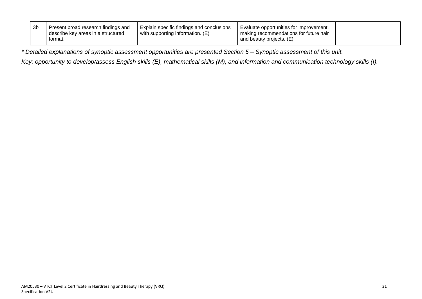| Explain specific findings and conclusions<br>Evaluate opportunities for improvement.<br>making recommendations for future hair<br>with supporting information. (E)<br>and beauty projects. (E) | Present broad research findings and<br>describe kev areas in a structured<br>tormat. |
|------------------------------------------------------------------------------------------------------------------------------------------------------------------------------------------------|--------------------------------------------------------------------------------------|
|------------------------------------------------------------------------------------------------------------------------------------------------------------------------------------------------|--------------------------------------------------------------------------------------|

*\* Detailed explanations of synoptic assessment opportunities are presented Section 5 – Synoptic assessment of this unit.*

*Key: opportunity to develop/assess English skills (E), mathematical skills (M), and information and communication technology skills (I).*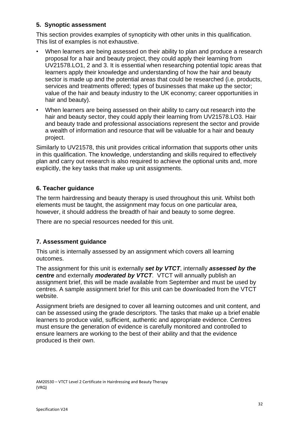# **5. Synoptic assessment**

This section provides examples of synopticity with other units in this qualification. This list of examples is not exhaustive.

- When learners are being assessed on their ability to plan and produce a research proposal for a hair and beauty project, they could apply their learning from UV21578.LO1, 2 and 3. It is essential when researching potential topic areas that learners apply their knowledge and understanding of how the hair and beauty sector is made up and the potential areas that could be researched (i.e. products, services and treatments offered; types of businesses that make up the sector; value of the hair and beauty industry to the UK economy; career opportunities in hair and beauty).
- When learners are being assessed on their ability to carry out research into the hair and beauty sector, they could apply their learning from UV21578.LO3. Hair and beauty trade and professional associations represent the sector and provide a wealth of information and resource that will be valuable for a hair and beauty project.

Similarly to UV21578, this unit provides critical information that supports other units in this qualification. The knowledge, understanding and skills required to effectively plan and carry out research is also required to achieve the optional units and, more explicitly, the key tasks that make up unit assignments.

# **6. Teacher guidance**

The term hairdressing and beauty therapy is used throughout this unit. Whilst both elements must be taught, the assignment may focus on one particular area, however, it should address the breadth of hair and beauty to some degree.

There are no special resources needed for this unit.

# **7. Assessment guidance**

This unit is internally assessed by an assignment which covers all learning outcomes.

The assignment for this unit is externally *set by VTCT*, internally *assessed by the centre* and externally *moderated by VTCT*. VTCT will annually publish an assignment brief, this will be made available from September and must be used by centres. A sample assignment brief for this unit can be downloaded from the VTCT website.

Assignment briefs are designed to cover all learning outcomes and unit content, and can be assessed using the grade descriptors. The tasks that make up a brief enable learners to produce valid, sufficient, authentic and appropriate evidence. Centres must ensure the generation of evidence is carefully monitored and controlled to ensure learners are working to the best of their ability and that the evidence produced is their own.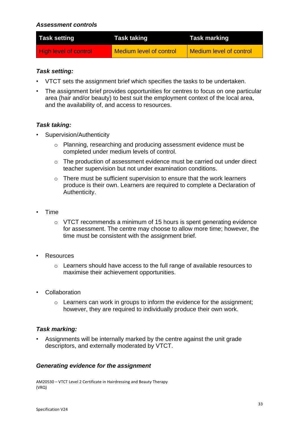### *Assessment controls*

| <b>Task setting</b>          | <b>Task taking</b>             | <b>Task marking</b>            |
|------------------------------|--------------------------------|--------------------------------|
| <b>High level of control</b> | <b>Medium level of control</b> | <b>Medium level of control</b> |

# *Task setting:*

- VTCT sets the assignment brief which specifies the tasks to be undertaken.
- The assignment brief provides opportunities for centres to focus on one particular area (hair and/or beauty) to best suit the employment context of the local area, and the availability of, and access to resources.

# *Task taking:*

- Supervision/Authenticity
	- o Planning, researching and producing assessment evidence must be completed under medium levels of control.
	- o The production of assessment evidence must be carried out under direct teacher supervision but not under examination conditions.
	- $\circ$  There must be sufficient supervision to ensure that the work learners produce is their own. Learners are required to complete a Declaration of Authenticity.
- Time
	- o VTCT recommends a minimum of 15 hours is spent generating evidence for assessment. The centre may choose to allow more time; however, the time must be consistent with the assignment brief.
- **Resources** 
	- o Learners should have access to the full range of available resources to maximise their achievement opportunities.
- Collaboration
	- o Learners can work in groups to inform the evidence for the assignment; however, they are required to individually produce their own work.

# *Task marking:*

• Assignments will be internally marked by the centre against the unit grade descriptors, and externally moderated by VTCT.

# *Generating evidence for the assignment*

AM20530 – VTCT Level 2 Certificate in Hairdressing and Beauty Therapy (VRQ)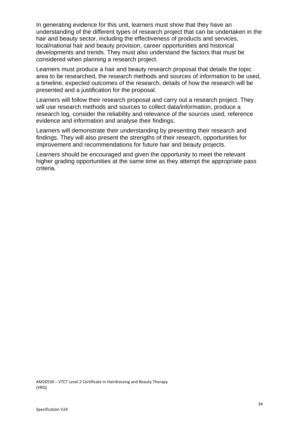In generating evidence for this unit, learners must show that they have an understanding of the different types of research project that can be undertaken in the hair and beauty sector, including the effectiveness of products and services, local/national hair and beauty provision, career opportunities and historical developments and trends. They must also understand the factors that must be considered when planning a research project.

Learners must produce a hair and beauty research proposal that details the topic area to be researched, the research methods and sources of information to be used, a timeline, expected outcomes of the research, details of how the research will be presented and a justification for the proposal.

Learners will follow their research proposal and carry out a research project. They will use research methods and sources to collect data/information, produce a research log, consider the reliability and relevance of the sources used, reference evidence and information and analyse their findings.

Learners will demonstrate their understanding by presenting their research and findings. They will also present the strengths of their research, opportunities for improvement and recommendations for future hair and beauty projects.

Learners should be encouraged and given the opportunity to meet the relevant higher grading opportunities at the same time as they attempt the appropriate pass criteria.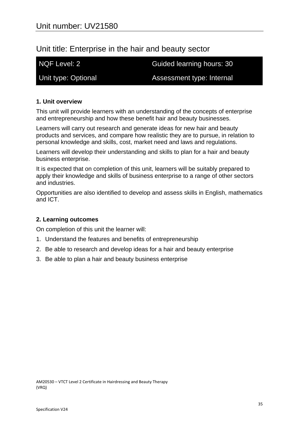# Unit title: Enterprise in the hair and beauty sector

NQF Level: 2 Guided learning hours: 30

Unit type: Optional **Assessment type: Internal** 

# **1. Unit overview**

This unit will provide learners with an understanding of the concepts of enterprise and entrepreneurship and how these benefit hair and beauty businesses.

Learners will carry out research and generate ideas for new hair and beauty products and services, and compare how realistic they are to pursue, in relation to personal knowledge and skills, cost, market need and laws and regulations.

Learners will develop their understanding and skills to plan for a hair and beauty business enterprise.

It is expected that on completion of this unit, learners will be suitably prepared to apply their knowledge and skills of business enterprise to a range of other sectors and industries.

Opportunities are also identified to develop and assess skills in English, mathematics and ICT.

# **2. Learning outcomes**

On completion of this unit the learner will:

- 1. Understand the features and benefits of entrepreneurship
- 2. Be able to research and develop ideas for a hair and beauty enterprise
- 3. Be able to plan a hair and beauty business enterprise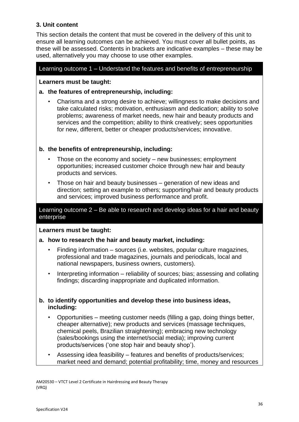# **3. Unit content**

This section details the content that must be covered in the delivery of this unit to ensure all learning outcomes can be achieved. You must cover all bullet points, as these will be assessed. Contents in brackets are indicative examples – these may be used, alternatively you may choose to use other examples.

# Learning outcome 1 – Understand the features and benefits of entrepreneurship

## **Learners must be taught:**

# **a. the features of entrepreneurship, including:**

• Charisma and a strong desire to achieve; willingness to make decisions and take calculated risks; motivation, enthusiasm and dedication; ability to solve problems; awareness of market needs, new hair and beauty products and services and the competition; ability to think creatively; sees opportunities for new, different, better or cheaper products/services; innovative.

# **b. the benefits of entrepreneurship, including:**

- Those on the economy and society new businesses; employment opportunities; increased customer choice through new hair and beauty products and services.
- Those on hair and beauty businesses generation of new ideas and direction; setting an example to others; supporting/hair and beauty products and services; improved business performance and profit.

# Learning outcome 2 – Be able to research and develop ideas for a hair and beauty enterprise

# **Learners must be taught:**

# **a. how to research the hair and beauty market, including:**

- Finding information sources (i.e. websites, popular culture magazines, professional and trade magazines, journals and periodicals, local and national newspapers, business owners, customers).
- Interpreting information reliability of sources; bias; assessing and collating findings; discarding inappropriate and duplicated information.

# **b. to identify opportunities and develop these into business ideas, including:**

- Opportunities meeting customer needs (filling a gap, doing things better, cheaper alternative); new products and services (massage techniques, chemical peels, Brazilian straightening); embracing new technology (sales/bookings using the internet/social media); improving current products/services ('one stop hair and beauty shop').
- Assessing idea feasibility features and benefits of products/services; market need and demand; potential profitability; time, money and resources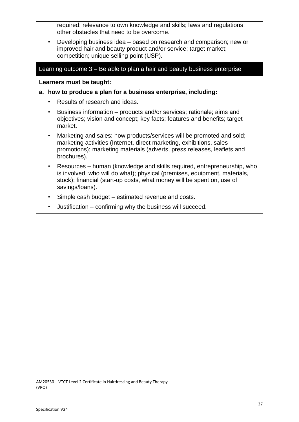required; relevance to own knowledge and skills; laws and regulations; other obstacles that need to be overcome.

• Developing business idea – based on research and comparison; new or improved hair and beauty product and/or service; target market; competition; unique selling point (USP).

#### Learning outcome 3 – Be able to plan a hair and beauty business enterprise

**Learners must be taught:**

#### **a. how to produce a plan for a business enterprise, including:**

- Results of research and ideas.
- Business information products and/or services; rationale; aims and objectives; vision and concept; key facts; features and benefits; target market.
- Marketing and sales: how products/services will be promoted and sold; marketing activities (Internet, direct marketing, exhibitions, sales promotions); marketing materials (adverts, press releases, leaflets and brochures).
- Resources human (knowledge and skills required, entrepreneurship, who is involved, who will do what); physical (premises, equipment, materials, stock); financial (start-up costs, what money will be spent on, use of savings/loans).
- Simple cash budget estimated revenue and costs.
- Justification confirming why the business will succeed.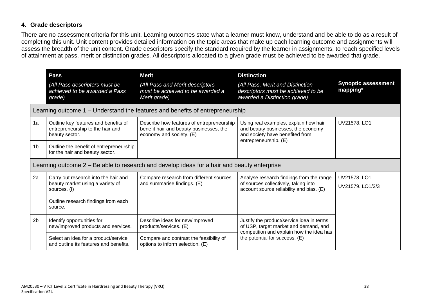# **4. Grade descriptors**

There are no assessment criteria for this unit. Learning outcomes state what a learner must know, understand and be able to do as a result of completing this unit. Unit content provides detailed information on the topic areas that make up each learning outcome and assignments will assess the breadth of the unit content. Grade descriptors specify the standard required by the learner in assignments, to reach specified levels of attainment at pass, merit or distinction grades. All descriptors allocated to a given grade must be achieved to be awarded that grade.

|                | <b>Pass</b><br>(All Pass descriptors must be<br>achieved to be awarded a Pass<br>grade)                                                    | <b>Merit</b><br>(All Pass and Merit descriptors<br>must be achieved to be awarded a<br>Merit grade)              | <b>Distinction</b><br>(All Pass, Merit and Distinction<br>descriptors must be achieved to be<br>awarded a Distinction grade)            | <b>Synoptic assessment</b><br>mapping* |
|----------------|--------------------------------------------------------------------------------------------------------------------------------------------|------------------------------------------------------------------------------------------------------------------|-----------------------------------------------------------------------------------------------------------------------------------------|----------------------------------------|
|                |                                                                                                                                            | Learning outcome 1 – Understand the features and benefits of entrepreneurship                                    |                                                                                                                                         |                                        |
| 1a             | Outline key features and benefits of<br>entrepreneurship to the hair and<br>beauty sector.                                                 | Describe how features of entrepreneurship<br>benefit hair and beauty businesses, the<br>economy and society. (E) | Using real examples, explain how hair<br>and beauty businesses, the economy<br>and society have benefited from<br>entrepreneurship. (E) | UV21578, LO1                           |
| 1 <sub>b</sub> | Outline the benefit of entrepreneurship<br>for the hair and beauty sector.                                                                 |                                                                                                                  |                                                                                                                                         |                                        |
|                |                                                                                                                                            | Learning outcome 2 – Be able to research and develop ideas for a hair and beauty enterprise                      |                                                                                                                                         |                                        |
| 2a             | Carry out research into the hair and<br>beauty market using a variety of<br>sources. (I)<br>Outline research findings from each<br>source. | Compare research from different sources<br>and summarise findings. (E)                                           | Analyse research findings from the range<br>of sources collectively, taking into<br>account source reliability and bias. (E)            | UV21578, LO1<br>UV21579. LO1/2/3       |
| 2 <sub>b</sub> | Identify opportunities for<br>new/improved products and services.                                                                          | Describe ideas for new/improved<br>products/services. (E)                                                        | Justify the product/service idea in terms<br>of USP, target market and demand, and<br>competition and explain how the idea has          |                                        |
|                | Select an idea for a product/service<br>and outline its features and benefits.                                                             | Compare and contrast the feasibility of<br>options to inform selection. (E)                                      | the potential for success. (E)                                                                                                          |                                        |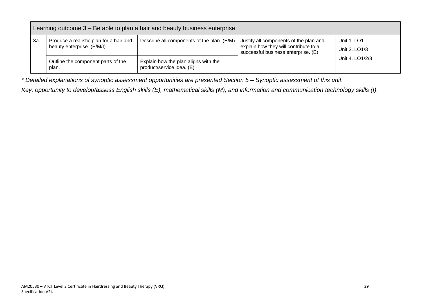|    | Learning outcome $3 - Be$ able to plan a hair and beauty business enterprise |                                                                   |                                                                                                                        |                                     |  |  |
|----|------------------------------------------------------------------------------|-------------------------------------------------------------------|------------------------------------------------------------------------------------------------------------------------|-------------------------------------|--|--|
| За | Produce a realistic plan for a hair and<br>beauty enterprise. (E/M/I)        | Describe all components of the plan. (E/M)                        | Justify all components of the plan and<br>explain how they will contribute to a<br>successful business enterprise. (E) | <b>Unit 1. LO1</b><br>Unit 2. LO1/3 |  |  |
|    | Outline the component parts of the<br>plan.                                  | Explain how the plan aligns with the<br>product/service idea. (E) |                                                                                                                        | Unit 4, LO1/2/3                     |  |  |

*\* Detailed explanations of synoptic assessment opportunities are presented Section 5 – Synoptic assessment of this unit.*

*Key: opportunity to develop/assess English skills (E), mathematical skills (M), and information and communication technology skills (I).*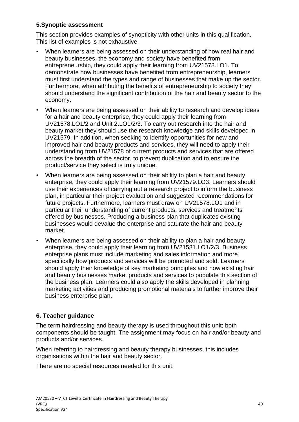# **5.Synoptic assessment**

This section provides examples of synopticity with other units in this qualification. This list of examples is not exhaustive.

- When learners are being assessed on their understanding of how real hair and beauty businesses, the economy and society have benefited from entrepreneurship, they could apply their learning from UV21578.LO1. To demonstrate how businesses have benefited from entrepreneurship, learners must first understand the types and range of businesses that make up the sector. Furthermore, when attributing the benefits of entrepreneurship to society they should understand the significant contribution of the hair and beauty sector to the economy.
- When learners are being assessed on their ability to research and develop ideas for a hair and beauty enterprise, they could apply their learning from UV21578.LO1/2 and Unit 2.LO1/2/3. To carry out research into the hair and beauty market they should use the research knowledge and skills developed in UV21579. In addition, when seeking to identify opportunities for new and improved hair and beauty products and services, they will need to apply their understanding from UV21578 of current products and services that are offered across the breadth of the sector, to prevent duplication and to ensure the product/service they select is truly unique.
- When learners are being assessed on their ability to plan a hair and beauty enterprise, they could apply their learning from UV21579.LO3. Learners should use their experiences of carrying out a research project to inform the business plan, in particular their project evaluation and suggested recommendations for future projects. Furthermore, learners must draw on UV21578.LO1 and in particular their understanding of current products, services and treatments offered by businesses. Producing a business plan that duplicates existing businesses would devalue the enterprise and saturate the hair and beauty market.
- When learners are being assessed on their ability to plan a hair and beauty enterprise, they could apply their learning from UV21581.LO1/2/3. Business enterprise plans must include marketing and sales information and more specifically how products and services will be promoted and sold. Learners should apply their knowledge of key marketing principles and how existing hair and beauty businesses market products and services to populate this section of the business plan. Learners could also apply the skills developed in planning marketing activities and producing promotional materials to further improve their business enterprise plan.

# **6. Teacher guidance**

The term hairdressing and beauty therapy is used throughout this unit; both components should be taught. The assignment may focus on hair and/or beauty and products and/or services.

When referring to hairdressing and beauty therapy businesses, this includes organisations within the hair and beauty sector.

There are no special resources needed for this unit.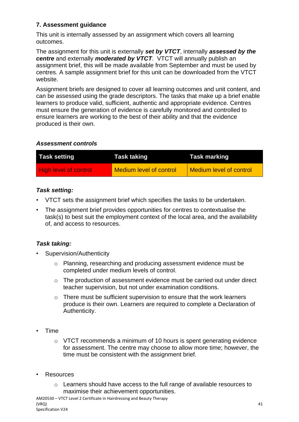# **7. Assessment guidance**

This unit is internally assessed by an assignment which covers all learning outcomes.

The assignment for this unit is externally *set by VTCT*, internally *assessed by the centre* and externally *moderated by VTCT*. VTCT will annually publish an assignment brief, this will be made available from September and must be used by centres. A sample assignment brief for this unit can be downloaded from the VTCT website.

Assignment briefs are designed to cover all learning outcomes and unit content, and can be assessed using the grade descriptors. The tasks that make up a brief enable learners to produce valid, sufficient, authentic and appropriate evidence. Centres must ensure the generation of evidence is carefully monitored and controlled to ensure learners are working to the best of their ability and that the evidence produced is their own.

# *Assessment controls*

| <b>Task setting</b>          | Task taking                    | <b>Task marking</b>     |
|------------------------------|--------------------------------|-------------------------|
| <b>High level of control</b> | <b>Medium level of control</b> | Medium level of control |

# *Task setting:*

- VTCT sets the assignment brief which specifies the tasks to be undertaken.
- The assignment brief provides opportunities for centres to contextualise the task(s) to best suit the employment context of the local area, and the availability of, and access to resources.

# *Task taking:*

- Supervision/Authenticity
	- o Planning, researching and producing assessment evidence must be completed under medium levels of control.
	- o The production of assessment evidence must be carried out under direct teacher supervision, but not under examination conditions.
	- o There must be sufficient supervision to ensure that the work learners produce is their own. Learners are required to complete a Declaration of Authenticity.
- Time
	- o VTCT recommends a minimum of 10 hours is spent generating evidence for assessment. The centre may choose to allow more time; however, the time must be consistent with the assignment brief.
- **Resources** 
	- o Learners should have access to the full range of available resources to maximise their achievement opportunities.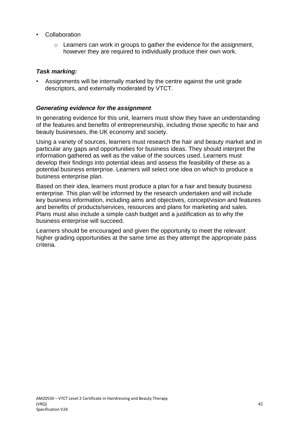- **Collaboration** 
	- $\circ$  Learners can work in groups to gather the evidence for the assignment. however they are required to individually produce their own work.

# *Task marking:*

• Assignments will be internally marked by the centre against the unit grade descriptors, and externally moderated by VTCT.

# *Generating evidence for the assignment*

In generating evidence for this unit, learners must show they have an understanding of the features and benefits of entrepreneurship, including those specific to hair and beauty businesses, the UK economy and society.

Using a variety of sources, learners must research the hair and beauty market and in particular any gaps and opportunities for business ideas. They should interpret the information gathered as well as the value of the sources used. Learners must develop their findings into potential ideas and assess the feasibility of these as a potential business enterprise. Learners will select one idea on which to produce a business enterprise plan.

Based on their idea, learners must produce a plan for a hair and beauty business enterprise. This plan will be informed by the research undertaken and will include key business information, including aims and objectives, concept/vision and features and benefits of products/services, resources and plans for marketing and sales. Plans must also include a simple cash budget and a justification as to why the business enterprise will succeed.

Learners should be encouraged and given the opportunity to meet the relevant higher grading opportunities at the same time as they attempt the appropriate pass criteria.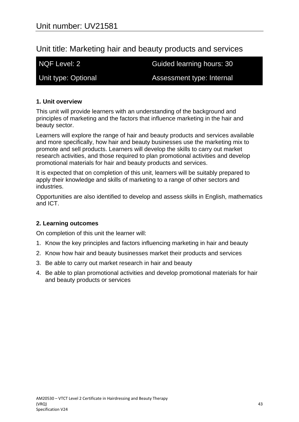# Unit title: Marketing hair and beauty products and services

NQF Level: 2 Guided learning hours: 30

Unit type: Optional **Assessment type: Internal** 

# **1. Unit overview**

This unit will provide learners with an understanding of the background and principles of marketing and the factors that influence marketing in the hair and beauty sector.

Learners will explore the range of hair and beauty products and services available and more specifically, how hair and beauty businesses use the marketing mix to promote and sell products. Learners will develop the skills to carry out market research activities, and those required to plan promotional activities and develop promotional materials for hair and beauty products and services.

It is expected that on completion of this unit, learners will be suitably prepared to apply their knowledge and skills of marketing to a range of other sectors and industries.

Opportunities are also identified to develop and assess skills in English, mathematics and ICT.

# **2. Learning outcomes**

On completion of this unit the learner will:

- 1. Know the key principles and factors influencing marketing in hair and beauty
- 2. Know how hair and beauty businesses market their products and services
- 3. Be able to carry out market research in hair and beauty
- 4. Be able to plan promotional activities and develop promotional materials for hair and beauty products or services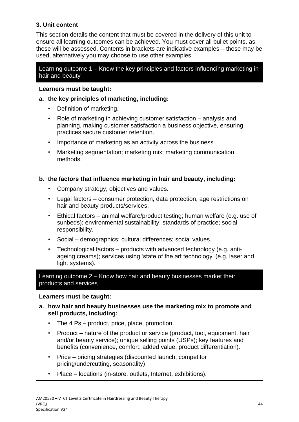# **3. Unit content**

This section details the content that must be covered in the delivery of this unit to ensure all learning outcomes can be achieved. You must cover all bullet points, as these will be assessed. Contents in brackets are indicative examples – these may be used, alternatively you may choose to use other examples.

# Learning outcome 1 – Know the key principles and factors influencing marketing in hair and beauty

# **Learners must be taught:**

- **a. the key principles of marketing, including:**
	- Definition of marketing.
	- Role of marketing in achieving customer satisfaction analysis and planning, making customer satisfaction a business objective, ensuring practices secure customer retention.
	- Importance of marketing as an activity across the business.
	- Marketing segmentation; marketing mix; marketing communication methods.

# **b. the factors that influence marketing in hair and beauty, including:**

- Company strategy, objectives and values.
- Legal factors consumer protection, data protection, age restrictions on hair and beauty products/services.
- Ethical factors animal welfare/product testing; human welfare (e.g. use of sunbeds); environmental sustainability; standards of practice; social responsibility.
- Social demographics; cultural differences; social values.
- Technological factors products with advanced technology (e.g. antiageing creams); services using 'state of the art technology' (e.g. laser and light systems).

Learning outcome 2 – Know how hair and beauty businesses market their products and services

# **Learners must be taught:**

- **a. how hair and beauty businesses use the marketing mix to promote and sell products, including:**
	- The 4 Ps product, price, place, promotion.
	- Product nature of the product or service (product, tool, equipment, hair and/or beauty service); unique selling points (USPs); key features and benefits (convenience, comfort, added value; product differentiation).
	- Price pricing strategies (discounted launch, competitor pricing/undercutting, seasonality).
	- Place locations (in-store, outlets, Internet, exhibitions).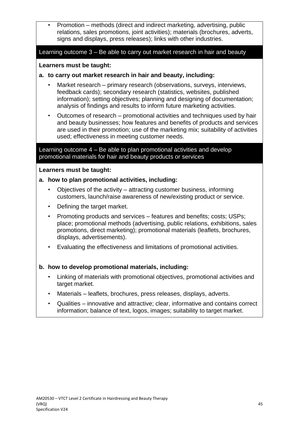• Promotion – methods (direct and indirect marketing, advertising, public relations, sales promotions, joint activities); materials (brochures, adverts, signs and displays, press releases); links with other industries.

# Learning outcome 3 – Be able to carry out market research in hair and beauty

# **Learners must be taught:**

- **a. to carry out market research in hair and beauty, including:**
	- Market research primary research (observations, surveys, interviews, feedback cards); secondary research (statistics, websites, published information); setting objectives; planning and designing of documentation; analysis of findings and results to inform future marketing activities.
	- Outcomes of research promotional activities and techniques used by hair and beauty businesses; how features and benefits of products and services are used in their promotion; use of the marketing mix; suitability of activities used; effectiveness in meeting customer needs.

# Learning outcome 4 – Be able to plan promotional activities and develop promotional materials for hair and beauty products or services

# **Learners must be taught:**

- **a. how to plan promotional activities, including:**
	- Objectives of the activity attracting customer business, informing customers, launch/raise awareness of new/existing product or service.
	- Defining the target market.
	- Promoting products and services features and benefits; costs; USPs; place; promotional methods (advertising, public relations, exhibitions, sales promotions, direct marketing); promotional materials (leaflets, brochures, displays, advertisements).
	- Evaluating the effectiveness and limitations of promotional activities.

# **b. how to develop promotional materials, including:**

- Linking of materials with promotional objectives, promotional activities and target market.
- Materials leaflets, brochures, press releases, displays, adverts.
- Qualities innovative and attractive; clear, informative and contains correct information; balance of text, logos, images; suitability to target market.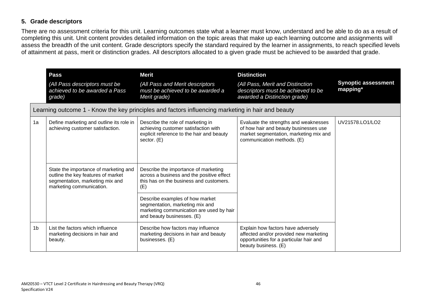# **5. Grade descriptors**

There are no assessment criteria for this unit. Learning outcomes state what a learner must know, understand and be able to do as a result of completing this unit. Unit content provides detailed information on the topic areas that make up each learning outcome and assignments will assess the breadth of the unit content. Grade descriptors specify the standard required by the learner in assignments, to reach specified levels of attainment at pass, merit or distinction grades. All descriptors allocated to a given grade must be achieved to be awarded that grade.

|    | <b>Pass</b><br>(All Pass descriptors must be<br>achieved to be awarded a Pass<br>grade)                                                    | <b>Merit</b><br>(All Pass and Merit descriptors<br>must be achieved to be awarded a<br>Merit grade)                                          | <b>Distinction</b><br>(All Pass, Merit and Distinction<br>descriptors must be achieved to be<br>awarded a Distinction grade)                           | <b>Synoptic assessment</b><br>mapping* |
|----|--------------------------------------------------------------------------------------------------------------------------------------------|----------------------------------------------------------------------------------------------------------------------------------------------|--------------------------------------------------------------------------------------------------------------------------------------------------------|----------------------------------------|
|    |                                                                                                                                            | Learning outcome 1 - Know the key principles and factors influencing marketing in hair and beauty                                            |                                                                                                                                                        |                                        |
| 1a | Define marketing and outline its role in<br>achieving customer satisfaction.                                                               | Describe the role of marketing in<br>achieving customer satisfaction with<br>explicit reference to the hair and beauty<br>sector. (E)        | Evaluate the strengths and weaknesses<br>of how hair and beauty businesses use<br>market segmentation, marketing mix and<br>communication methods. (E) | UV21578.LO1/LO2                        |
|    | State the importance of marketing and<br>outline the key features of market<br>segmentation, marketing mix and<br>marketing communication. | Describe the importance of marketing<br>across a business and the positive effect<br>this has on the business and customers.<br>(E)          |                                                                                                                                                        |                                        |
|    |                                                                                                                                            | Describe examples of how market<br>segmentation, marketing mix and<br>marketing communication are used by hair<br>and beauty businesses. (E) |                                                                                                                                                        |                                        |
| 1b | List the factors which influence<br>marketing decisions in hair and<br>beauty.                                                             | Describe how factors may influence<br>marketing decisions in hair and beauty<br>businesses. (E)                                              | Explain how factors have adversely<br>affected and/or provided new marketing<br>opportunities for a particular hair and<br>beauty business. (E)        |                                        |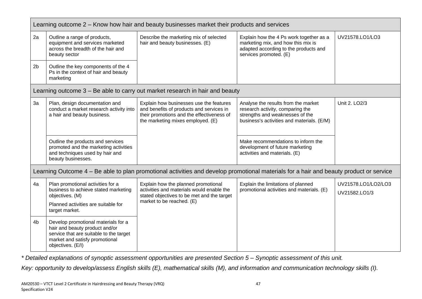|                | Learning outcome 2 – Know how hair and beauty businesses market their products and services                                                                             |                                                                                                                                                                       |                                                                                                                                                          |                                      |
|----------------|-------------------------------------------------------------------------------------------------------------------------------------------------------------------------|-----------------------------------------------------------------------------------------------------------------------------------------------------------------------|----------------------------------------------------------------------------------------------------------------------------------------------------------|--------------------------------------|
| 2a             | Outline a range of products,<br>equipment and services marketed<br>across the breadth of the hair and<br>beauty sector                                                  | Describe the marketing mix of selected<br>hair and beauty businesses. (E)                                                                                             | Explain how the 4 Ps work together as a<br>marketing mix, and how this mix is<br>adapted according to the products and<br>services promoted. (E)         | UV21578.LO1/LO3                      |
| 2 <sub>b</sub> | Outline the key components of the 4<br>Ps in the context of hair and beauty<br>marketing                                                                                |                                                                                                                                                                       |                                                                                                                                                          |                                      |
|                |                                                                                                                                                                         | Learning outcome 3 – Be able to carry out market research in hair and beauty                                                                                          |                                                                                                                                                          |                                      |
| 3a             | Plan, design documentation and<br>conduct a market research activity into<br>a hair and beauty business.                                                                | Explain how businesses use the features<br>and benefits of products and services in<br>their promotions and the effectiveness of<br>the marketing mixes employed. (E) | Analyse the results from the market<br>research activity, comparing the<br>strengths and weaknesses of the<br>business's activities and materials. (E/M) | Unit 2. LO2/3                        |
|                | Outline the products and services<br>promoted and the marketing activities<br>and techniques used by hair and<br>beauty businesses.                                     |                                                                                                                                                                       | Make recommendations to inform the<br>development of future marketing<br>activities and materials. (E)                                                   |                                      |
|                |                                                                                                                                                                         | Learning Outcome 4 - Be able to plan promotional activities and develop promotional materials for a hair and beauty product or service                                |                                                                                                                                                          |                                      |
| 4a             | Plan promotional activities for a<br>business to achieve stated marketing<br>objectives. (M)<br>Planned activities are suitable for<br>target market.                   | Explain how the planned promotional<br>activities and materials would enable the<br>stated objectives to be met and the target<br>market to be reached. (E)           | Explain the limitations of planned<br>promotional activities and materials. (E)                                                                          | UV21578.LO1/LO2/LO3<br>UV21582.LO1/3 |
| 4b             | Develop promotional materials for a<br>hair and beauty product and/or<br>service that are suitable to the target<br>market and satisfy promotional<br>objectives. (E/I) |                                                                                                                                                                       |                                                                                                                                                          |                                      |

*\* Detailed explanations of synoptic assessment opportunities are presented Section 5 – Synoptic assessment of this unit.*

*Key: opportunity to develop/assess English skills (E), mathematical skills (M), and information and communication technology skills (I).*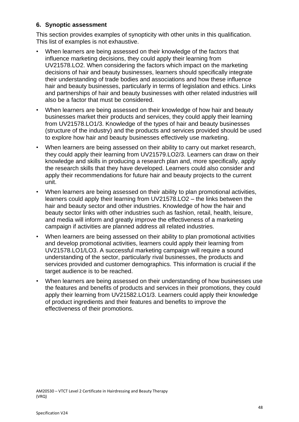# **6. Synoptic assessment**

This section provides examples of synopticity with other units in this qualification. This list of examples is not exhaustive.

- When learners are being assessed on their knowledge of the factors that influence marketing decisions, they could apply their learning from UV21578.LO2. When considering the factors which impact on the marketing decisions of hair and beauty businesses, learners should specifically integrate their understanding of trade bodies and associations and how these influence hair and beauty businesses, particularly in terms of legislation and ethics. Links and partnerships of hair and beauty businesses with other related industries will also be a factor that must be considered.
- When learners are being assessed on their knowledge of how hair and beauty businesses market their products and services, they could apply their learning from UV21578.LO1/3. Knowledge of the types of hair and beauty businesses (structure of the industry) and the products and services provided should be used to explore how hair and beauty businesses effectively use marketing.
- When learners are being assessed on their ability to carry out market research, they could apply their learning from UV21579.LO2/3. Learners can draw on their knowledge and skills in producing a research plan and, more specifically, apply the research skills that they have developed. Learners could also consider and apply their recommendations for future hair and beauty projects to the current unit.
- When learners are being assessed on their ability to plan promotional activities, learners could apply their learning from UV21578.LO2 – the links between the hair and beauty sector and other industries. Knowledge of how the hair and beauty sector links with other industries such as fashion, retail, health, leisure, and media will inform and greatly improve the effectiveness of a marketing campaign if activities are planned address all related industries.
- When learners are being assessed on their ability to plan promotional activities and develop promotional activities, learners could apply their learning from UV21578.LO1/LO3. A successful marketing campaign will require a sound understanding of the sector, particularly rival businesses, the products and services provided and customer demographics. This information is crucial if the target audience is to be reached.
- When learners are being assessed on their understanding of how businesses use the features and benefits of products and services in their promotions, they could apply their learning from UV21582.LO1/3. Learners could apply their knowledge of product ingredients and their features and benefits to improve the effectiveness of their promotions.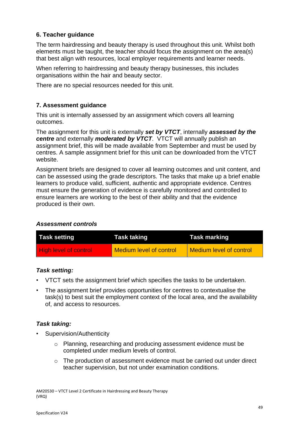# **6. Teacher guidance**

The term hairdressing and beauty therapy is used throughout this unit. Whilst both elements must be taught, the teacher should focus the assignment on the area(s) that best align with resources, local employer requirements and learner needs.

When referring to hairdressing and beauty therapy businesses, this includes organisations within the hair and beauty sector.

There are no special resources needed for this unit.

# **7. Assessment guidance**

This unit is internally assessed by an assignment which covers all learning outcomes.

The assignment for this unit is externally *set by VTCT*, internally *assessed by the centre* and externally *moderated by VTCT*. VTCT will annually publish an assignment brief, this will be made available from September and must be used by centres. A sample assignment brief for this unit can be downloaded from the VTCT website.

Assignment briefs are designed to cover all learning outcomes and unit content, and can be assessed using the grade descriptors. The tasks that make up a brief enable learners to produce valid, sufficient, authentic and appropriate evidence. Centres must ensure the generation of evidence is carefully monitored and controlled to ensure learners are working to the best of their ability and that the evidence produced is their own.

# *Assessment controls*

| <b>Task setting</b>          | Task taking                    | <b>Task marking</b>     |
|------------------------------|--------------------------------|-------------------------|
| <b>High level of control</b> | <b>Medium level of control</b> | Medium level of control |

# *Task setting:*

- VTCT sets the assignment brief which specifies the tasks to be undertaken.
- The assignment brief provides opportunities for centres to contextualise the task(s) to best suit the employment context of the local area, and the availability of, and access to resources.

# *Task taking:*

- Supervision/Authenticity
	- o Planning, researching and producing assessment evidence must be completed under medium levels of control.
	- o The production of assessment evidence must be carried out under direct teacher supervision, but not under examination conditions.

AM20530 – VTCT Level 2 Certificate in Hairdressing and Beauty Therapy (VRQ)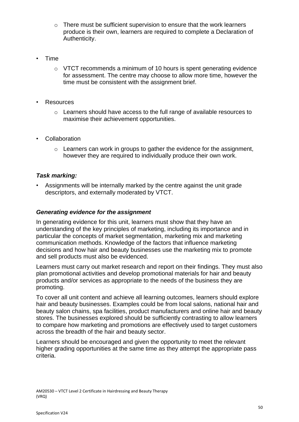- o There must be sufficient supervision to ensure that the work learners produce is their own, learners are required to complete a Declaration of Authenticity.
- Time
	- $\circ$  VTCT recommends a minimum of 10 hours is spent generating evidence for assessment. The centre may choose to allow more time, however the time must be consistent with the assignment brief.
- **Resources** 
	- o Learners should have access to the full range of available resources to maximise their achievement opportunities.
- **Collaboration** 
	- o Learners can work in groups to gather the evidence for the assignment, however they are required to individually produce their own work.

# *Task marking:*

• Assignments will be internally marked by the centre against the unit grade descriptors, and externally moderated by VTCT.

# *Generating evidence for the assignment*

In generating evidence for this unit, learners must show that they have an understanding of the key principles of marketing, including its importance and in particular the concepts of market segmentation, marketing mix and marketing communication methods. Knowledge of the factors that influence marketing decisions and how hair and beauty businesses use the marketing mix to promote and sell products must also be evidenced.

Learners must carry out market research and report on their findings. They must also plan promotional activities and develop promotional materials for hair and beauty products and/or services as appropriate to the needs of the business they are promoting.

To cover all unit content and achieve all learning outcomes, learners should explore hair and beauty businesses. Examples could be from local salons, national hair and beauty salon chains, spa facilities, product manufacturers and online hair and beauty stores. The businesses explored should be sufficiently contrasting to allow learners to compare how marketing and promotions are effectively used to target customers across the breadth of the hair and beauty sector.

Learners should be encouraged and given the opportunity to meet the relevant higher grading opportunities at the same time as they attempt the appropriate pass criteria.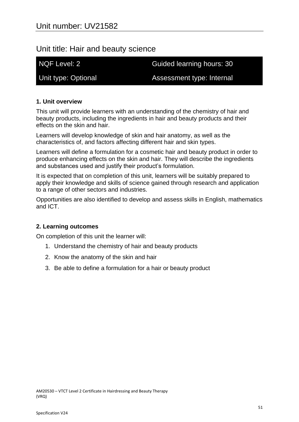# Unit title: Hair and beauty science

NQF Level: 2 Guided learning hours: 30

Unit type: Optional **Assessment type: Internal** 

# **1. Unit overview**

This unit will provide learners with an understanding of the chemistry of hair and beauty products, including the ingredients in hair and beauty products and their effects on the skin and hair.

Learners will develop knowledge of skin and hair anatomy, as well as the characteristics of, and factors affecting different hair and skin types.

Learners will define a formulation for a cosmetic hair and beauty product in order to produce enhancing effects on the skin and hair. They will describe the ingredients and substances used and justify their product's formulation.

It is expected that on completion of this unit, learners will be suitably prepared to apply their knowledge and skills of science gained through research and application to a range of other sectors and industries.

Opportunities are also identified to develop and assess skills in English, mathematics and ICT.

# **2. Learning outcomes**

On completion of this unit the learner will:

- 1. Understand the chemistry of hair and beauty products
- 2. Know the anatomy of the skin and hair
- 3. Be able to define a formulation for a hair or beauty product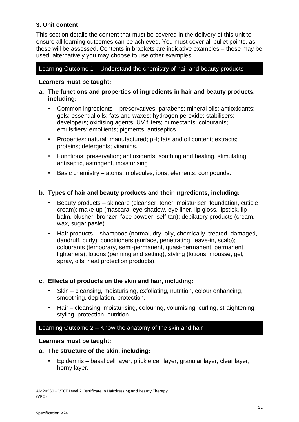# **3. Unit content**

This section details the content that must be covered in the delivery of this unit to ensure all learning outcomes can be achieved. You must cover all bullet points, as these will be assessed. Contents in brackets are indicative examples – these may be used, alternatively you may choose to use other examples.

# Learning Outcome 1 – Understand the chemistry of hair and beauty products

# **Learners must be taught:**

- **a. The functions and properties of ingredients in hair and beauty products, including:**
	- Common ingredients preservatives; parabens; mineral oils; antioxidants; gels; essential oils; fats and waxes; hydrogen peroxide; stabilisers; developers; oxidising agents; UV filters; humectants; colourants; emulsifiers; emollients; pigments; antiseptics.
	- Properties: natural; manufactured; pH; fats and oil content; extracts; proteins; detergents; vitamins.
	- Functions: preservation; antioxidants; soothing and healing, stimulating; antiseptic, astringent, moisturising
	- Basic chemistry atoms, molecules, ions, elements, compounds.

# **b. Types of hair and beauty products and their ingredients, including:**

- Beauty products skincare (cleanser, toner, moisturiser, foundation, cuticle cream); make-up (mascara, eye shadow, eye liner, lip gloss, lipstick, lip balm, blusher, bronzer, face powder, self-tan); depilatory products (cream, wax, sugar paste).
- Hair products shampoos (normal, dry, oily, chemically, treated, damaged, dandruff, curly); conditioners (surface, penetrating, leave-in, scalp); colourants (temporary, semi-permanent, quasi-permanent, permanent, lighteners); lotions (perming and setting); styling (lotions, mousse, gel, spray, oils, heat protection products).

# **c. Effects of products on the skin and hair, including:**

- Skin cleansing, moisturising, exfoliating, nutrition, colour enhancing, smoothing, depilation, protection.
- Hair cleansing, moisturising, colouring, volumising, curling, straightening, styling, protection, nutrition.

# Learning Outcome 2 – Know the anatomy of the skin and hair

# **Learners must be taught:**

# **a. The structure of the skin, including:**

• Epidermis – basal cell layer, prickle cell layer, granular layer, clear layer, horny layer.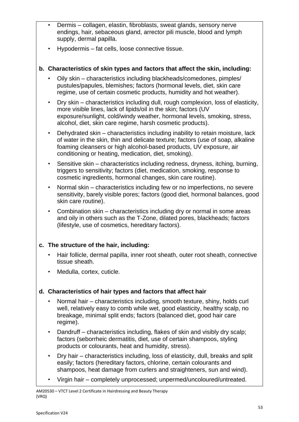- Dermis collagen, elastin, fibroblasts, sweat glands, sensory nerve endings, hair, sebaceous gland, arrector pili muscle, blood and lymph supply, dermal papilla.
- Hypodermis fat cells, loose connective tissue.

# **b. Characteristics of skin types and factors that affect the skin, including:**

- Oily skin characteristics including blackheads/comedones, pimples/ pustules/papules, blemishes; factors (hormonal levels, diet, skin care regime, use of certain cosmetic products, humidity and hot weather).
- Dry skin characteristics including dull, rough complexion, loss of elasticity, more visible lines, lack of lipids/oil in the skin; factors (UV exposure/sunlight, cold/windy weather, hormonal levels, smoking, stress, alcohol, diet, skin care regime, harsh cosmetic products).
- Dehydrated skin characteristics including inability to retain moisture, lack of water in the skin, thin and delicate texture; factors (use of soap, alkaline foaming cleansers or high alcohol-based products, UV exposure, air conditioning or heating, medication, diet, smoking).
- Sensitive skin characteristics including redness, dryness, itching, burning, triggers to sensitivity; factors (diet, medication, smoking, response to cosmetic ingredients, hormonal changes, skin care routine).
- Normal skin characteristics including few or no imperfections, no severe sensitivity, barely visible pores; factors (good diet, hormonal balances, good skin care routine).
- Combination skin characteristics including dry or normal in some areas and oily in others such as the T-Zone, dilated pores, blackheads; factors (lifestyle, use of cosmetics, hereditary factors).

# **c. The structure of the hair, including:**

- Hair follicle, dermal papilla, inner root sheath, outer root sheath, connective tissue sheath.
- Medulla, cortex, cuticle.

# **d. Characteristics of hair types and factors that affect hair**

- Normal hair characteristics including, smooth texture, shiny, holds curl well, relatively easy to comb while wet, good elasticity, healthy scalp, no breakage, minimal split ends; factors (balanced diet, good hair care regime).
- Dandruff characteristics including, flakes of skin and visibly dry scalp; factors (seborrheic dermatitis, diet, use of certain shampoos, styling products or colourants, heat and humidity, stress).
- Dry hair characteristics including, loss of elasticity, dull, breaks and split easily; factors (hereditary factors, chlorine, certain colourants and shampoos, heat damage from curlers and straighteners, sun and wind).
- Virgin hair completely unprocessed; unpermed/uncoloured/untreated.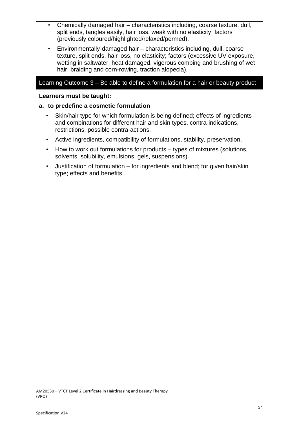- Chemically damaged hair characteristics including, coarse texture, dull, split ends, tangles easily, hair loss, weak with no elasticity; factors (previously coloured/highlighted/relaxed/permed).
- Environmentally-damaged hair characteristics including, dull, coarse texture, split ends, hair loss, no elasticity; factors (excessive UV exposure, wetting in saltwater, heat damaged, vigorous combing and brushing of wet hair, braiding and corn-rowing, traction alopecia).

# Learning Outcome 3 – Be able to define a formulation for a hair or beauty product

#### **Learners must be taught:**

### **a. to predefine a cosmetic formulation**

- Skin/hair type for which formulation is being defined; effects of ingredients and combinations for different hair and skin types, contra-indications, restrictions, possible contra-actions.
- Active ingredients, compatibility of formulations, stability, preservation.
- How to work out formulations for products types of mixtures (solutions, solvents, solubility, emulsions, gels, suspensions).
- Justification of formulation for ingredients and blend; for given hair/skin type; effects and benefits.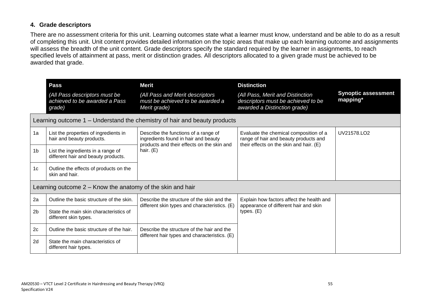# **4. Grade descriptors**

There are no assessment criteria for this unit. Learning outcomes state what a learner must know, understand and be able to do as a result of completing this unit. Unit content provides detailed information on the topic areas that make up each learning outcome and assignments will assess the breadth of the unit content. Grade descriptors specify the standard required by the learner in assignments, to reach specified levels of attainment at pass, merit or distinction grades. All descriptors allocated to a given grade must be achieved to be awarded that grade.

|                | Pass<br>(All Pass descriptors must be<br>achieved to be awarded a Pass<br>grade) | <b>Merit</b><br>(All Pass and Merit descriptors<br>must be achieved to be awarded a<br>Merit grade)                                       | <b>Distinction</b><br>(All Pass, Merit and Distinction<br>descriptors must be achieved to be<br>awarded a Distinction grade) | <b>Synoptic assessment</b><br>mapping* |
|----------------|----------------------------------------------------------------------------------|-------------------------------------------------------------------------------------------------------------------------------------------|------------------------------------------------------------------------------------------------------------------------------|----------------------------------------|
|                |                                                                                  | Learning outcome 1 – Understand the chemistry of hair and beauty products                                                                 |                                                                                                                              |                                        |
| 1a             | List the properties of ingredients in<br>hair and beauty products.               | Describe the functions of a range of<br>ingredients found in hair and beauty<br>products and their effects on the skin and<br>hair. $(E)$ | Evaluate the chemical composition of a<br>range of hair and beauty products and<br>their effects on the skin and hair. (E)   | UV21578.LO2                            |
| 1 <sub>b</sub> | List the ingredients in a range of<br>different hair and beauty products.        |                                                                                                                                           |                                                                                                                              |                                        |
| 1 <sub>c</sub> | Outline the effects of products on the<br>skin and hair.                         |                                                                                                                                           |                                                                                                                              |                                        |
|                | Learning outcome $2 -$ Know the anatomy of the skin and hair                     |                                                                                                                                           |                                                                                                                              |                                        |
| 2a             | Outline the basic structure of the skin.                                         | Describe the structure of the skin and the<br>different skin types and characteristics. (E)<br>Describe the structure of the hair and the | Explain how factors affect the health and<br>appearance of different hair and skin<br>types. $(E)$                           |                                        |
| 2 <sub>b</sub> | State the main skin characteristics of<br>different skin types.                  |                                                                                                                                           |                                                                                                                              |                                        |
| 2c             | Outline the basic structure of the hair.                                         |                                                                                                                                           |                                                                                                                              |                                        |
| 2d             | State the main characteristics of<br>different hair types.                       | different hair types and characteristics. (E)                                                                                             |                                                                                                                              |                                        |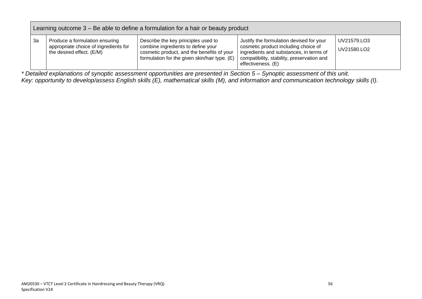|    | Learning outcome 3 – Be able to define a formulation for a hair or beauty product                    |                                                                                                                                                                          |                                                                                                                                                                                                 |                            |  |
|----|------------------------------------------------------------------------------------------------------|--------------------------------------------------------------------------------------------------------------------------------------------------------------------------|-------------------------------------------------------------------------------------------------------------------------------------------------------------------------------------------------|----------------------------|--|
| За | Produce a formulation ensuring<br>appropriate choice of ingredients for<br>the desired effect. (E/M) | Describe the key principles used to<br>combine ingredients to define your<br>cosmetic product, and the benefits of your<br>formulation for the given skin/hair type. (E) | Justify the formulation devised for your<br>cosmetic product including choice of<br>ingredients and substances, in terms of<br>compatibility, stability, preservation and<br>effectiveness. (E) | UV21579.LO3<br>UV21580.LO2 |  |

*\* Detailed explanations of synoptic assessment opportunities are presented in Section 5 – Synoptic assessment of this unit. Key: opportunity to develop/assess English skills (E), mathematical skills (M), and information and communication technology skills (I).*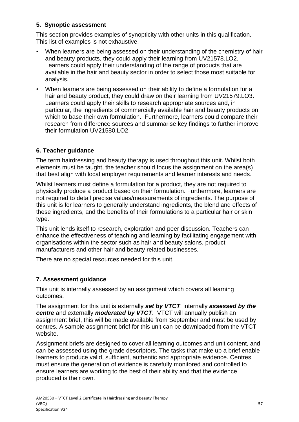# **5. Synoptic assessment**

This section provides examples of synopticity with other units in this qualification. This list of examples is not exhaustive.

- When learners are being assessed on their understanding of the chemistry of hair and beauty products, they could apply their learning from UV21578.LO2. Learners could apply their understanding of the range of products that are available in the hair and beauty sector in order to select those most suitable for analysis.
- When learners are being assessed on their ability to define a formulation for a hair and beauty product, they could draw on their learning from UV21579.LO3. Learners could apply their skills to research appropriate sources and, in particular, the ingredients of commercially available hair and beauty products on which to base their own formulation. Furthermore, learners could compare their research from difference sources and summarise key findings to further improve their formulation UV21580.LO2.

# **6. Teacher guidance**

The term hairdressing and beauty therapy is used throughout this unit. Whilst both elements must be taught, the teacher should focus the assignment on the area(s) that best align with local employer requirements and learner interests and needs.

Whilst learners must define a formulation for a product, they are not required to physically produce a product based on their formulation. Furthermore, learners are not required to detail precise values/measurements of ingredients. The purpose of this unit is for learners to generally understand ingredients, the blend and effects of these ingredients, and the benefits of their formulations to a particular hair or skin type.

This unit lends itself to research, exploration and peer discussion. Teachers can enhance the effectiveness of teaching and learning by facilitating engagement with organisations within the sector such as hair and beauty salons, product manufacturers and other hair and beauty related businesses.

There are no special resources needed for this unit.

# **7. Assessment guidance**

This unit is internally assessed by an assignment which covers all learning outcomes.

The assignment for this unit is externally *set by VTCT*, internally *assessed by the centre* and externally *moderated by VTCT*. VTCT will annually publish an assignment brief, this will be made available from September and must be used by centres. A sample assignment brief for this unit can be downloaded from the VTCT website.

Assignment briefs are designed to cover all learning outcomes and unit content, and can be assessed using the grade descriptors. The tasks that make up a brief enable learners to produce valid, sufficient, authentic and appropriate evidence. Centres must ensure the generation of evidence is carefully monitored and controlled to ensure learners are working to the best of their ability and that the evidence produced is their own.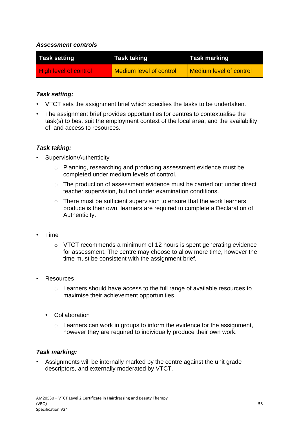# *Assessment controls*

| <b>Task setting</b>   | <b>Task taking</b>             | <b>Task marking</b>            |
|-----------------------|--------------------------------|--------------------------------|
| High level of control | <b>Medium level of control</b> | <b>Medium level of control</b> |

# *Task setting:*

- VTCT sets the assignment brief which specifies the tasks to be undertaken.
- The assignment brief provides opportunities for centres to contextualise the task(s) to best suit the employment context of the local area, and the availability of, and access to resources.

# *Task taking:*

- Supervision/Authenticity
	- o Planning, researching and producing assessment evidence must be completed under medium levels of control.
	- o The production of assessment evidence must be carried out under direct teacher supervision, but not under examination conditions.
	- $\circ$  There must be sufficient supervision to ensure that the work learners produce is their own, learners are required to complete a Declaration of Authenticity.
- Time
	- o VTCT recommends a minimum of 12 hours is spent generating evidence for assessment. The centre may choose to allow more time, however the time must be consistent with the assignment brief.
- **Resources** 
	- o Learners should have access to the full range of available resources to maximise their achievement opportunities.
	- Collaboration
		- o Learners can work in groups to inform the evidence for the assignment, however they are required to individually produce their own work.

# *Task marking:*

• Assignments will be internally marked by the centre against the unit grade descriptors, and externally moderated by VTCT.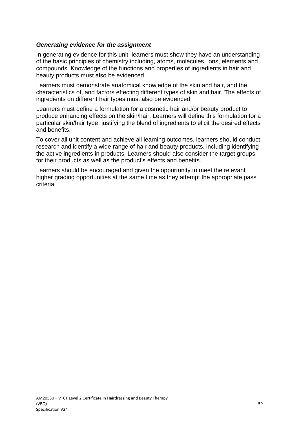# *Generating evidence for the assignment*

In generating evidence for this unit, learners must show they have an understanding of the basic principles of chemistry including, atoms, molecules, ions, elements and compounds. Knowledge of the functions and properties of ingredients in hair and beauty products must also be evidenced.

Learners must demonstrate anatomical knowledge of the skin and hair, and the characteristics of, and factors effecting different types of skin and hair. The effects of ingredients on different hair types must also be evidenced.

Learners must define a formulation for a cosmetic hair and/or beauty product to produce enhancing effects on the skin/hair. Learners will define this formulation for a particular skin/hair type, justifying the blend of ingredients to elicit the desired effects and benefits.

To cover all unit content and achieve all learning outcomes, learners should conduct research and identify a wide range of hair and beauty products, including identifying the active ingredients in products. Learners should also consider the target groups for their products as well as the product's effects and benefits.

Learners should be encouraged and given the opportunity to meet the relevant higher grading opportunities at the same time as they attempt the appropriate pass criteria.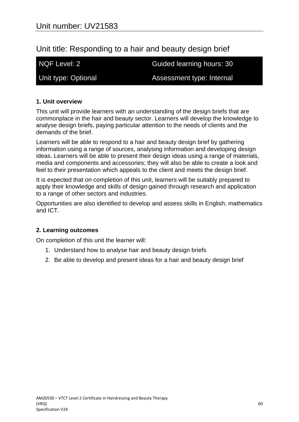# Unit title: Responding to a hair and beauty design brief

NQF Level: 2 Guided learning hours: 30

Unit type: Optional **Assessment type: Internal** 

# **1. Unit overview**

This unit will provide learners with an understanding of the design briefs that are commonplace in the hair and beauty sector. Learners will develop the knowledge to analyse design briefs, paying particular attention to the needs of clients and the demands of the brief.

Learners will be able to respond to a hair and beauty design brief by gathering information using a range of sources, analysing information and developing design ideas. Learners will be able to present their design ideas using a range of materials, media and components and accessories; they will also be able to create a look and feel to their presentation which appeals to the client and meets the design brief.

It is expected that on completion of this unit, learners will be suitably prepared to apply their knowledge and skills of design gained through research and application to a range of other sectors and industries.

Opportunities are also identified to develop and assess skills in English, mathematics and ICT.

# **2. Learning outcomes**

On completion of this unit the learner will:

- 1. Understand how to analyse hair and beauty design briefs
- 2. Be able to develop and present ideas for a hair and beauty design brief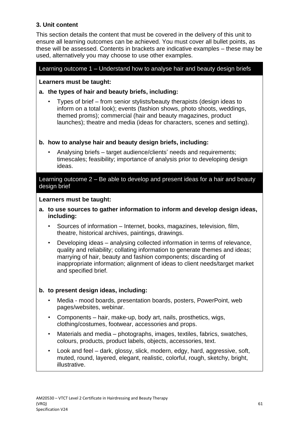# **3. Unit content**

This section details the content that must be covered in the delivery of this unit to ensure all learning outcomes can be achieved. You must cover all bullet points, as these will be assessed. Contents in brackets are indicative examples – these may be used, alternatively you may choose to use other examples.

# Learning outcome 1 – Understand how to analyse hair and beauty design briefs

# **Learners must be taught:**

# **a. the types of hair and beauty briefs, including:**

• Types of brief – from senior stylists/beauty therapists (design ideas to inform on a total look); events (fashion shows, photo shoots, weddings, themed proms); commercial (hair and beauty magazines, product launches); theatre and media (ideas for characters, scenes and setting).

# **b. how to analyse hair and beauty design briefs, including:**

• Analysing briefs – target audience/clients' needs and requirements; timescales; feasibility; importance of analysis prior to developing design ideas.

# Learning outcome 2 – Be able to develop and present ideas for a hair and beauty design brief

#### **Learners must be taught:**

- **a. to use sources to gather information to inform and develop design ideas, including:**
	- Sources of information Internet, books, magazines, television, film, theatre, historical archives, paintings, drawings.
	- Developing ideas analysing collected information in terms of relevance, quality and reliability; collating information to generate themes and ideas; marrying of hair, beauty and fashion components; discarding of inappropriate information; alignment of ideas to client needs/target market and specified brief.

# **b. to present design ideas, including:**

- Media mood boards, presentation boards, posters, PowerPoint, web pages/websites, webinar.
- Components hair, make-up, body art, nails, prosthetics, wigs, clothing/costumes, footwear, accessories and props.
- Materials and media photographs, images, textiles, fabrics, swatches, colours, products, product labels, objects, accessories, text.
- Look and feel dark, glossy, slick, modern, edgy, hard, aggressive, soft, muted, round, layered, elegant, realistic, colorful, rough, sketchy, bright, illustrative.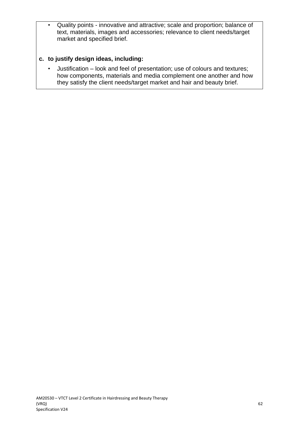• Quality points - innovative and attractive; scale and proportion; balance of text, materials, images and accessories; relevance to client needs/target market and specified brief.

# **c. to justify design ideas, including:**

• Justification – look and feel of presentation; use of colours and textures; how components, materials and media complement one another and how they satisfy the client needs/target market and hair and beauty brief.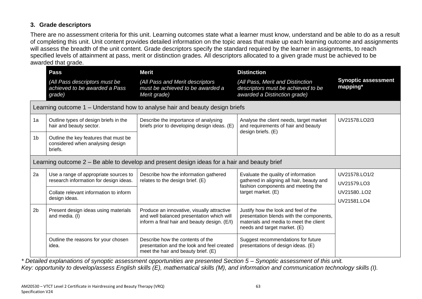# **3. Grade descriptors**

There are no assessment criteria for this unit. Learning outcomes state what a learner must know, understand and be able to do as a result of completing this unit. Unit content provides detailed information on the topic areas that make up each learning outcome and assignments will assess the breadth of the unit content. Grade descriptors specify the standard required by the learner in assignments, to reach specified levels of attainment at pass, merit or distinction grades. All descriptors allocated to a given grade must be achieved to be awarded that grade.

|                | <b>Pass</b>                                                                          | <b>Merit</b>                                                                                                                            | <b>Distinction</b>                                                                                                                                         |                                        |
|----------------|--------------------------------------------------------------------------------------|-----------------------------------------------------------------------------------------------------------------------------------------|------------------------------------------------------------------------------------------------------------------------------------------------------------|----------------------------------------|
|                | (All Pass descriptors must be<br>achieved to be awarded a Pass<br>grade)             | (All Pass and Merit descriptors<br>must be achieved to be awarded a<br>Merit grade)                                                     | (All Pass, Merit and Distinction<br>descriptors must be achieved to be<br>awarded a Distinction grade)                                                     | <b>Synoptic assessment</b><br>mapping* |
|                |                                                                                      | Learning outcome 1 - Understand how to analyse hair and beauty design briefs                                                            |                                                                                                                                                            |                                        |
| 1a             | Outline types of design briefs in the<br>hair and beauty sector.                     | Describe the importance of analysing<br>briefs prior to developing design ideas. (E)                                                    | Analyse the client needs, target market<br>and requirements of hair and beauty<br>design briefs. (E)                                                       | UV21578.LO2/3                          |
| 1 <sub>b</sub> | Outline the key features that must be<br>considered when analysing design<br>briefs. |                                                                                                                                         |                                                                                                                                                            |                                        |
|                |                                                                                      | Learning outcome 2 – Be able to develop and present design ideas for a hair and beauty brief                                            |                                                                                                                                                            |                                        |
| 2a             | Use a range of appropriate sources to<br>research information for design ideas.      | Describe how the information gathered<br>relates to the design brief. (E)                                                               | Evaluate the quality of information<br>gathered in aligning all hair, beauty and                                                                           | UV21578.LO1/2<br>UV21579.LO3           |
|                | Collate relevant information to inform<br>design ideas.                              |                                                                                                                                         | fashion components and meeting the<br>target market. (E)                                                                                                   | UV21580LO2<br>UV21581.LO4              |
| 2 <sub>b</sub> | Present design ideas using materials<br>and media. (I)                               | Produce an innovative, visually attractive<br>and well balanced presentation which will<br>inform a final hair and beauty design. (E/I) | Justify how the look and feel of the<br>presentation blends with the components,<br>materials and media to meet the client<br>needs and target market. (E) |                                        |
|                | Outline the reasons for your chosen<br>idea.                                         | Describe how the contents of the<br>presentation and the look and feel created<br>meet the hair and beauty brief. (E)                   | Suggest recommendations for future<br>presentations of design ideas. (E)                                                                                   |                                        |

*\* Detailed explanations of synoptic assessment opportunities are presented Section 5 – Synoptic assessment of this unit. Key: opportunity to develop/assess English skills (E), mathematical skills (M), and information and communication technology skills (I).*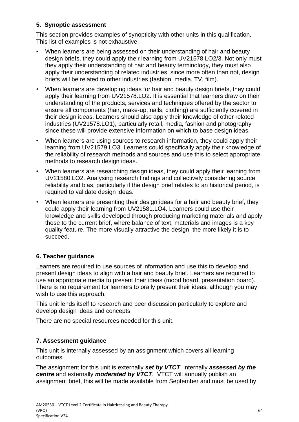# **5. Synoptic assessment**

This section provides examples of synopticity with other units in this qualification. This list of examples is not exhaustive.

- When learners are being assessed on their understanding of hair and beauty design briefs, they could apply their learning from UV21578.LO2/3. Not only must they apply their understanding of hair and beauty terminology, they must also apply their understanding of related industries, since more often than not, design briefs will be related to other industries (fashion, media, TV, film).
- When learners are developing ideas for hair and beauty design briefs, they could apply their learning from UV21578.LO2. It is essential that learners draw on their understanding of the products, services and techniques offered by the sector to ensure all components (hair, make-up, nails, clothing) are sufficiently covered in their design ideas. Learners should also apply their knowledge of other related industries (UV21578.LO1), particularly retail, media, fashion and photography since these will provide extensive information on which to base design ideas.
- When learners are using sources to research information, they could apply their learning from UV21579.LO3. Learners could specifically apply their knowledge of the reliability of research methods and sources and use this to select appropriate methods to research design ideas.
- When learners are researching design ideas, they could apply their learning from UV21580.LO2. Analysing research findings and collectively considering source reliability and bias, particularly if the design brief relates to an historical period, is required to validate design ideas.
- When learners are presenting their design ideas for a hair and beauty brief, they could apply their learning from UV21581.LO4. Learners could use their knowledge and skills developed through producing marketing materials and apply these to the current brief, where balance of text, materials and images is a key quality feature. The more visually attractive the design, the more likely it is to succeed.

# **6. Teacher guidance**

Learners are required to use sources of information and use this to develop and present design ideas to align with a hair and beauty brief. Learners are required to use an appropriate media to present their ideas (mood board, presentation board). There is no requirement for learners to orally present their ideas, although you may wish to use this approach.

This unit lends itself to research and peer discussion particularly to explore and develop design ideas and concepts.

There are no special resources needed for this unit.

# **7. Assessment guidance**

This unit is internally assessed by an assignment which covers all learning outcomes.

The assignment for this unit is externally *set by VTCT*, internally *assessed by the centre* and externally *moderated by VTCT*. VTCT will annually publish an assignment brief, this will be made available from September and must be used by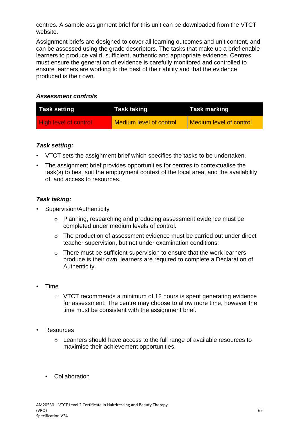centres. A sample assignment brief for this unit can be downloaded from the VTCT website.

Assignment briefs are designed to cover all learning outcomes and unit content, and can be assessed using the grade descriptors. The tasks that make up a brief enable learners to produce valid, sufficient, authentic and appropriate evidence. Centres must ensure the generation of evidence is carefully monitored and controlled to ensure learners are working to the best of their ability and that the evidence produced is their own.

# *Assessment controls*

| <b>Task setting</b>          | Task taking                    | Task marking            |
|------------------------------|--------------------------------|-------------------------|
| <b>High level of control</b> | <b>Medium level of control</b> | Medium level of control |

# *Task setting:*

- VTCT sets the assignment brief which specifies the tasks to be undertaken.
- The assignment brief provides opportunities for centres to contextualise the task(s) to best suit the employment context of the local area, and the availability of, and access to resources.

# *Task taking:*

- Supervision/Authenticity
	- o Planning, researching and producing assessment evidence must be completed under medium levels of control.
	- o The production of assessment evidence must be carried out under direct teacher supervision, but not under examination conditions.
	- o There must be sufficient supervision to ensure that the work learners produce is their own, learners are required to complete a Declaration of Authenticity.
- Time
	- o VTCT recommends a minimum of 12 hours is spent generating evidence for assessment. The centre may choose to allow more time, however the time must be consistent with the assignment brief.
- **Resources** 
	- $\circ$  Learners should have access to the full range of available resources to maximise their achievement opportunities.
	- Collaboration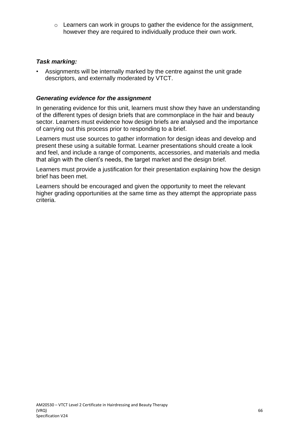o Learners can work in groups to gather the evidence for the assignment, however they are required to individually produce their own work.

# *Task marking:*

• Assignments will be internally marked by the centre against the unit grade descriptors, and externally moderated by VTCT.

# *Generating evidence for the assignment*

In generating evidence for this unit, learners must show they have an understanding of the different types of design briefs that are commonplace in the hair and beauty sector. Learners must evidence how design briefs are analysed and the importance of carrying out this process prior to responding to a brief.

Learners must use sources to gather information for design ideas and develop and present these using a suitable format. Learner presentations should create a look and feel, and include a range of components, accessories, and materials and media that align with the client's needs, the target market and the design brief.

Learners must provide a justification for their presentation explaining how the design brief has been met.

Learners should be encouraged and given the opportunity to meet the relevant higher grading opportunities at the same time as they attempt the appropriate pass criteria.